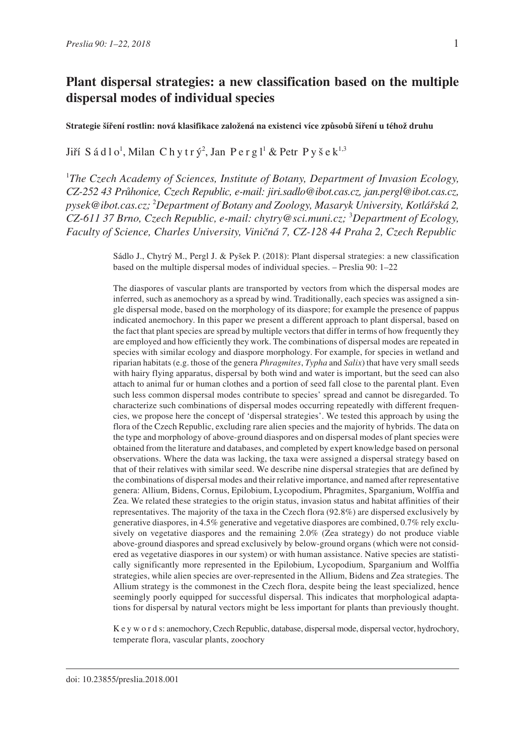### **Strategie šíření rostlin: nová klasifikace založená na existenci více způsobů šíření u téhož druhu**

Jiří Sádlo<sup>1</sup>, Milan Chytrý<sup>2</sup>, Jan Pergl<sup>1</sup> & Petr Pyšek $^{1,3}$ 

<sup>1</sup>The Czech Academy of Sciences, Institute of Botany, Department of Invasion Ecology, *CZ-252 43 Průhonice, Czech Republic, e-mail: jiri.sadlo@ibot.cas.cz, jan.pergl@ibot.cas.cz, pysek@ibot.cas.cz;* <sup>2</sup> *Department of Botany and Zoology, Masaryk University, Kotlářská 2, CZ-611 37 Brno, Czech Republic, e-mail: chytry@sci.muni.cz;* <sup>3</sup> *Department of Ecology, Faculty of Science, Charles University, Viničná 7, CZ-128 44 Praha 2, Czech Republic*

> Sádlo J., Chytrý M., Pergl J. & Pyšek P. (2018): Plant dispersal strategies: a new classification based on the multiple dispersal modes of individual species. – Preslia 90: 1–22

> The diaspores of vascular plants are transported by vectors from which the dispersal modes are inferred, such as anemochory as a spread by wind. Traditionally, each species was assigned a single dispersal mode, based on the morphology of its diaspore; for example the presence of pappus indicated anemochory. In this paper we present a different approach to plant dispersal, based on the fact that plant species are spread by multiple vectors that differ in terms of how frequently they are employed and how efficiently they work. The combinations of dispersal modes are repeated in species with similar ecology and diaspore morphology. For example, for species in wetland and riparian habitats (e.g. those of the genera *Phragmites*, *Typha* and *Salix*) that have very small seeds with hairy flying apparatus, dispersal by both wind and water is important, but the seed can also attach to animal fur or human clothes and a portion of seed fall close to the parental plant. Even such less common dispersal modes contribute to species' spread and cannot be disregarded. To characterize such combinations of dispersal modes occurring repeatedly with different frequencies, we propose here the concept of 'dispersal strategies'. We tested this approach by using the flora of the Czech Republic, excluding rare alien species and the majority of hybrids. The data on the type and morphology of above-ground diaspores and on dispersal modes of plant species were obtained from the literature and databases, and completed by expert knowledge based on personal observations. Where the data was lacking, the taxa were assigned a dispersal strategy based on that of their relatives with similar seed. We describe nine dispersal strategies that are defined by the combinations of dispersal modes and their relative importance, and named after representative genera: Allium, Bidens, Cornus, Epilobium, Lycopodium, Phragmites, Sparganium, Wolffia and Zea. We related these strategies to the origin status, invasion status and habitat affinities of their representatives. The majority of the taxa in the Czech flora (92.8%) are dispersed exclusively by generative diaspores, in 4.5% generative and vegetative diaspores are combined, 0.7% rely exclusively on vegetative diaspores and the remaining 2.0% (Zea strategy) do not produce viable above-ground diaspores and spread exclusively by below-ground organs (which were not considered as vegetative diaspores in our system) or with human assistance. Native species are statistically significantly more represented in the Epilobium, Lycopodium, Sparganium and Wolffia strategies, while alien species are over-represented in the Allium, Bidens and Zea strategies. The Allium strategy is the commonest in the Czech flora, despite being the least specialized, hence seemingly poorly equipped for successful dispersal. This indicates that morphological adaptations for dispersal by natural vectors might be less important for plants than previously thought.

> K e y w o r d s: anemochory, Czech Republic, database, dispersal mode, dispersal vector, hydrochory, temperate flora, vascular plants, zoochory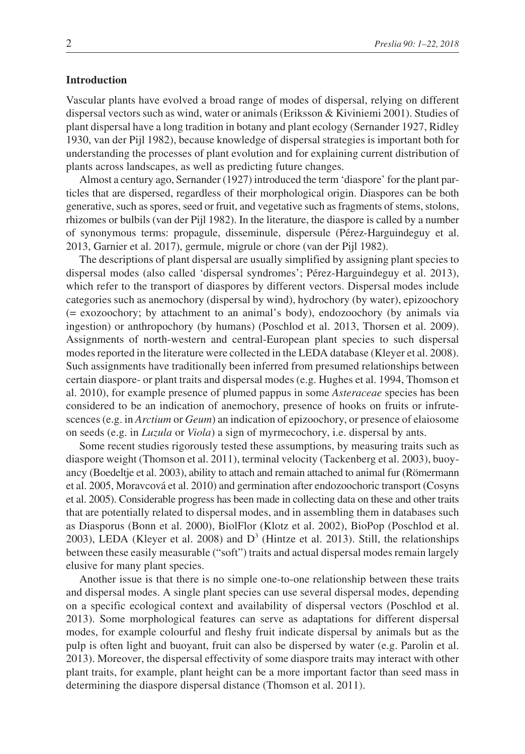## **Introduction**

Vascular plants have evolved a broad range of modes of dispersal, relying on different dispersal vectors such as wind, water or animals (Eriksson & Kiviniemi 2001). Studies of plant dispersal have a long tradition in botany and plant ecology (Sernander 1927, Ridley 1930, van der Pijl 1982), because knowledge of dispersal strategies is important both for understanding the processes of plant evolution and for explaining current distribution of plants across landscapes, as well as predicting future changes.

Almost a century ago, Sernander (1927) introduced the term 'diaspore' for the plant particles that are dispersed, regardless of their morphological origin. Diaspores can be both generative, such as spores, seed or fruit, and vegetative such as fragments of stems, stolons, rhizomes or bulbils (van der Pijl 1982). In the literature, the diaspore is called by a number of synonymous terms: propagule, disseminule, dispersule (Pérez-Harguindeguy et al. 2013, Garnier et al. 2017), germule, migrule or chore (van der Pijl 1982).

The descriptions of plant dispersal are usually simplified by assigning plant species to dispersal modes (also called 'dispersal syndromes'; Pérez-Harguindeguy et al. 2013), which refer to the transport of diaspores by different vectors. Dispersal modes include categories such as anemochory (dispersal by wind), hydrochory (by water), epizoochory (= exozoochory; by attachment to an animal's body), endozoochory (by animals via ingestion) or anthropochory (by humans) (Poschlod et al. 2013, Thorsen et al. 2009). Assignments of north-western and central-European plant species to such dispersal modes reported in the literature were collected in the LEDA database (Kleyer et al. 2008). Such assignments have traditionally been inferred from presumed relationships between certain diaspore- or plant traits and dispersal modes (e.g. Hughes et al. 1994, Thomson et al. 2010), for example presence of plumed pappus in some *Asteraceae* species has been considered to be an indication of anemochory, presence of hooks on fruits or infrutescences (e.g. in *Arctium* or *Geum*) an indication of epizoochory, or presence of elaiosome on seeds (e.g. in *Luzula* or *Viola*) a sign of myrmecochory, i.e. dispersal by ants.

Some recent studies rigorously tested these assumptions, by measuring traits such as diaspore weight (Thomson et al. 2011), terminal velocity (Tackenberg et al. 2003), buoyancy (Boedeltje et al. 2003), ability to attach and remain attached to animal fur (Römermann et al. 2005, Moravcová et al. 2010) and germination after endozoochoric transport (Cosyns et al. 2005). Considerable progress has been made in collecting data on these and other traits that are potentially related to dispersal modes, and in assembling them in databases such as Diasporus (Bonn et al. 2000), BiolFlor (Klotz et al. 2002), BioPop (Poschlod et al. 2003), LEDA (Kleyer et al. 2008) and  $D<sup>3</sup>$  (Hintze et al. 2013). Still, the relationships between these easily measurable ("soft") traits and actual dispersal modes remain largely elusive for many plant species.

Another issue is that there is no simple one-to-one relationship between these traits and dispersal modes. A single plant species can use several dispersal modes, depending on a specific ecological context and availability of dispersal vectors (Poschlod et al. 2013). Some morphological features can serve as adaptations for different dispersal modes, for example colourful and fleshy fruit indicate dispersal by animals but as the pulp is often light and buoyant, fruit can also be dispersed by water (e.g. Parolin et al. 2013). Moreover, the dispersal effectivity of some diaspore traits may interact with other plant traits, for example, plant height can be a more important factor than seed mass in determining the diaspore dispersal distance (Thomson et al. 2011).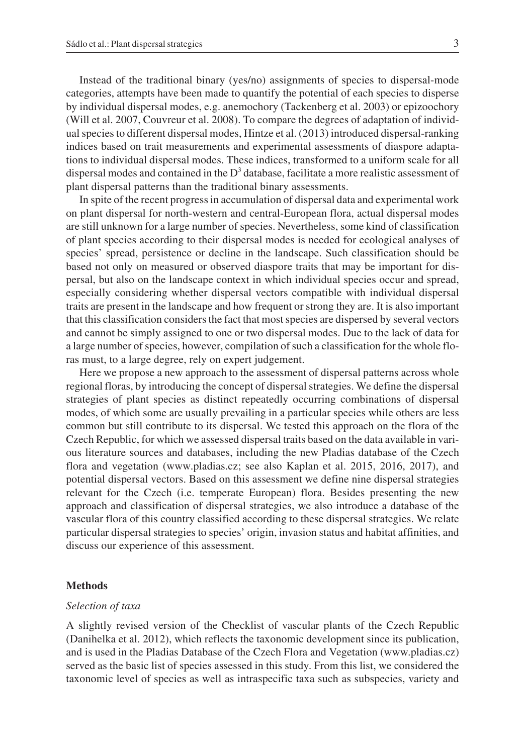Instead of the traditional binary (yes/no) assignments of species to dispersal-mode categories, attempts have been made to quantify the potential of each species to disperse by individual dispersal modes, e.g. anemochory (Tackenberg et al. 2003) or epizoochory (Will et al. 2007, Couvreur et al. 2008). To compare the degrees of adaptation of individual species to different dispersal modes, Hintze et al. (2013) introduced dispersal-ranking indices based on trait measurements and experimental assessments of diaspore adaptations to individual dispersal modes. These indices, transformed to a uniform scale for all dispersal modes and contained in the  $D<sup>3</sup>$  database, facilitate a more realistic assessment of plant dispersal patterns than the traditional binary assessments.

In spite of the recent progress in accumulation of dispersal data and experimental work on plant dispersal for north-western and central-European flora, actual dispersal modes are still unknown for a large number of species. Nevertheless, some kind of classification of plant species according to their dispersal modes is needed for ecological analyses of species' spread, persistence or decline in the landscape. Such classification should be based not only on measured or observed diaspore traits that may be important for dispersal, but also on the landscape context in which individual species occur and spread, especially considering whether dispersal vectors compatible with individual dispersal traits are present in the landscape and how frequent or strong they are. It is also important that this classification considers the fact that most species are dispersed by several vectors and cannot be simply assigned to one or two dispersal modes. Due to the lack of data for a large number of species, however, compilation of such a classification for the whole floras must, to a large degree, rely on expert judgement.

Here we propose a new approach to the assessment of dispersal patterns across whole regional floras, by introducing the concept of dispersal strategies. We define the dispersal strategies of plant species as distinct repeatedly occurring combinations of dispersal modes, of which some are usually prevailing in a particular species while others are less common but still contribute to its dispersal. We tested this approach on the flora of the Czech Republic, for which we assessed dispersal traits based on the data available in various literature sources and databases, including the new Pladias database of the Czech flora and vegetation (www.pladias.cz; see also Kaplan et al. 2015, 2016, 2017), and potential dispersal vectors. Based on this assessment we define nine dispersal strategies relevant for the Czech (i.e. temperate European) flora. Besides presenting the new approach and classification of dispersal strategies, we also introduce a database of the vascular flora of this country classified according to these dispersal strategies. We relate particular dispersal strategies to species' origin, invasion status and habitat affinities, and discuss our experience of this assessment.

#### **Methods**

## *Selection of taxa*

A slightly revised version of the Checklist of vascular plants of the Czech Republic (Danihelka et al. 2012), which reflects the taxonomic development since its publication, and is used in the Pladias Database of the Czech Flora and Vegetation (www.pladias.cz) served as the basic list of species assessed in this study. From this list, we considered the taxonomic level of species as well as intraspecific taxa such as subspecies, variety and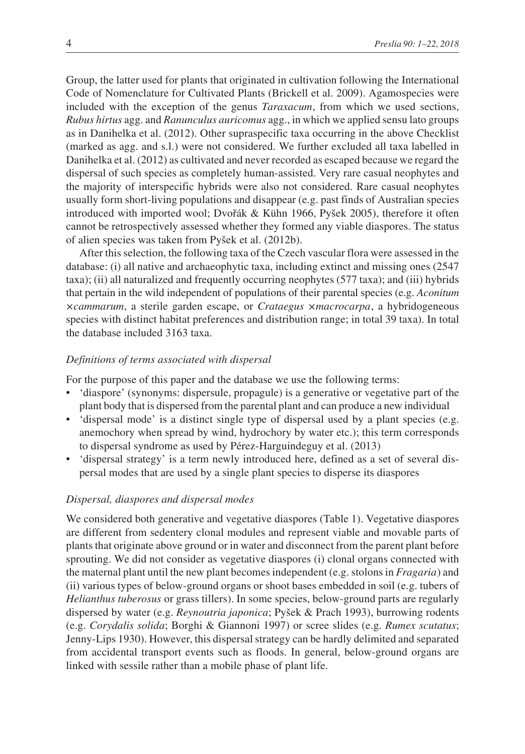Group, the latter used for plants that originated in cultivation following the International Code of Nomenclature for Cultivated Plants (Brickell et al. 2009). Agamospecies were included with the exception of the genus *Taraxacum*, from which we used sections, *Rubus hirtus* agg. and *Ranunculus auricomus* agg., in which we applied sensu lato groups as in Danihelka et al. (2012). Other supraspecific taxa occurring in the above Checklist (marked as agg. and s.l.) were not considered. We further excluded all taxa labelled in Danihelka et al. (2012) as cultivated and never recorded as escaped because we regard the dispersal of such species as completely human-assisted. Very rare casual neophytes and the majority of interspecific hybrids were also not considered. Rare casual neophytes usually form short-living populations and disappear (e.g. past finds of Australian species introduced with imported wool; Dvořák & Kühn 1966, Pyšek 2005), therefore it often cannot be retrospectively assessed whether they formed any viable diaspores. The status of alien species was taken from Pyšek et al. (2012b).

After this selection, the following taxa of the Czech vascular flora were assessed in the database: (i) all native and archaeophytic taxa, including extinct and missing ones (2547 taxa); (ii) all naturalized and frequently occurring neophytes (577 taxa); and (iii) hybrids that pertain in the wild independent of populations of their parental species (e.g. *Aconitum ×cammarum*, a sterile garden escape, or *Crataegus ×macrocarpa*, a hybridogeneous species with distinct habitat preferences and distribution range; in total 39 taxa). In total the database included 3163 taxa.

# *Definitions of terms associated with dispersal*

For the purpose of this paper and the database we use the following terms:

- 'diaspore' (synonyms: dispersule, propagule) is a generative or vegetative part of the plant body that is dispersed from the parental plant and can produce a new individual
- 'dispersal mode' is a distinct single type of dispersal used by a plant species (e.g. anemochory when spread by wind, hydrochory by water etc.); this term corresponds to dispersal syndrome as used by Pérez-Harguindeguy et al. (2013)
- 'dispersal strategy' is a term newly introduced here, defined as a set of several dispersal modes that are used by a single plant species to disperse its diaspores

## *Dispersal, diaspores and dispersal modes*

We considered both generative and vegetative diaspores (Table 1). Vegetative diaspores are different from sedentery clonal modules and represent viable and movable parts of plants that originate above ground or in water and disconnect from the parent plant before sprouting. We did not consider as vegetative diaspores (i) clonal organs connected with the maternal plant until the new plant becomes independent (e.g. stolons in *Fragaria*) and (ii) various types of below-ground organs or shoot bases embedded in soil (e.g. tubers of *Helianthus tuberosus* or grass tillers). In some species, below-ground parts are regularly dispersed by water (e.g. *Reynoutria japonica*; Pyšek & Prach 1993), burrowing rodents (e.g. *Corydalis solida*; Borghi & Giannoni 1997) or scree slides (e.g. *Rumex scutatus*; Jenny-Lips 1930). However, this dispersal strategy can be hardly delimited and separated from accidental transport events such as floods. In general, below-ground organs are linked with sessile rather than a mobile phase of plant life.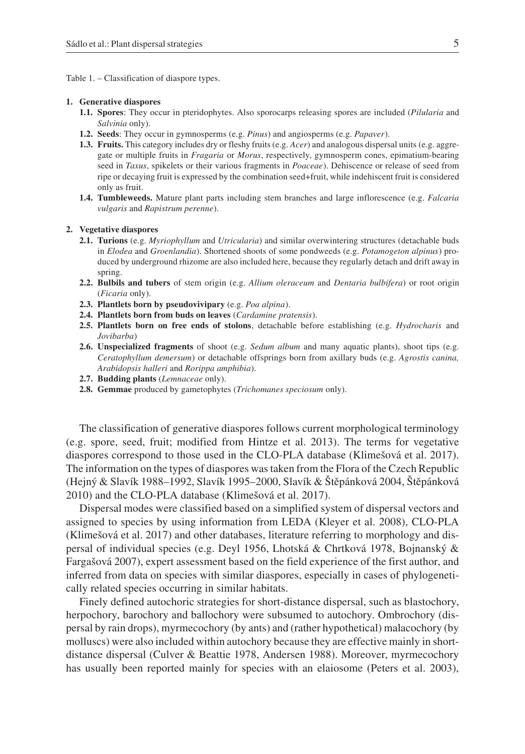Table 1. – Classification of diaspore types.

#### **1. Generative diaspores**

- **1.1. Spores**: They occur in pteridophytes. Also sporocarps releasing spores are included (*Pilularia* and *Salvinia* only).
- **1.2. Seeds**: They occur in gymnosperms (e.g. *Pinus*) and angiosperms (e.g. *Papaver*).
- **1.3. Fruits.** This category includes dry or fleshy fruits (e.g. *Acer*) and analogous dispersal units (e.g. aggregate or multiple fruits in *Fragaria* or *Morus*, respectively, gymnosperm cones, epimatium-bearing seed in *Taxus*, spikelets or their various fragments in *Poaceae*). Dehiscence or release of seed from ripe or decaying fruit is expressed by the combination seed+fruit, while indehiscent fruit is considered only as fruit.
- **1.4. Tumbleweeds.** Mature plant parts including stem branches and large inflorescence (e.g. *Falcaria vulgaris* and *Rapistrum perenne*).

#### **2. Vegetative diaspores**

- **2.1. Turions** (e.g. *Myriophyllum* and *Utricularia*) and similar overwintering structures (detachable buds in *Elodea* and *Groenlandia*). Shortened shoots of some pondweeds (e.g. *Potamogeton alpinus*) produced by underground rhizome are also included here, because they regularly detach and drift away in spring.
- **2.2. Bulbils and tubers** of stem origin (e.g. *Allium oleraceum* and *Dentaria bulbifera*) or root origin (*Ficaria* only).
- **2.3. Plantlets born by pseudovivipary** (e.g. *Poa alpina*).
- **2.4. Plantlets born from buds on leaves** (*Cardamine pratensis*).
- **2.5. Plantlets born on free ends of stolons**, detachable before establishing (e.g. *Hydrocharis* and *Jovibarba*)
- **2.6. Unspecialized fragments** of shoot (e.g. *Sedum album* and many aquatic plants), shoot tips (e.g. *Ceratophyllum demersum*) or detachable offsprings born from axillary buds (e.g. *Agrostis canina, Arabidopsis halleri* and *Rorippa amphibia*).
- **2.7. Budding plants** (*Lemnaceae* only).
- **2.8. Gemmae** produced by gametophytes (*Trichomanes speciosum* only).

The classification of generative diaspores follows current morphological terminology (e.g. spore, seed, fruit; modified from Hintze et al. 2013). The terms for vegetative diaspores correspond to those used in the CLO-PLA database (Klimešová et al. 2017). The information on the types of diaspores was taken from the Flora of the Czech Republic (Hejný & Slavík 1988–1992, Slavík 1995–2000, Slavík & Štěpánková 2004, Štěpánková 2010) and the CLO-PLA database (Klimešová et al. 2017).

Dispersal modes were classified based on a simplified system of dispersal vectors and assigned to species by using information from LEDA (Kleyer et al. 2008), CLO-PLA (Klimešová et al. 2017) and other databases, literature referring to morphology and dispersal of individual species (e.g. Deyl 1956, Lhotská & Chrtková 1978, Bojnanský & Fargašová 2007), expert assessment based on the field experience of the first author, and inferred from data on species with similar diaspores, especially in cases of phylogenetically related species occurring in similar habitats.

Finely defined autochoric strategies for short-distance dispersal, such as blastochory, herpochory, barochory and ballochory were subsumed to autochory. Ombrochory (dispersal by rain drops), myrmecochory (by ants) and (rather hypothetical) malacochory (by molluscs) were also included within autochory because they are effective mainly in shortdistance dispersal (Culver & Beattie 1978, Andersen 1988). Moreover, myrmecochory has usually been reported mainly for species with an elaiosome (Peters et al. 2003),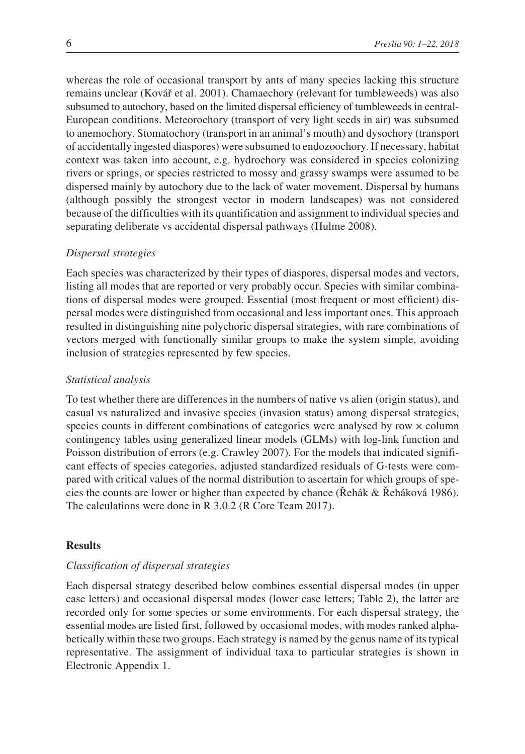whereas the role of occasional transport by ants of many species lacking this structure remains unclear (Kovář et al. 2001). Chamaechory (relevant for tumbleweeds) was also subsumed to autochory, based on the limited dispersal efficiency of tumbleweeds in central-European conditions. Meteorochory (transport of very light seeds in air) was subsumed to anemochory. Stomatochory (transport in an animal's mouth) and dysochory (transport of accidentally ingested diaspores) were subsumed to endozoochory. If necessary, habitat context was taken into account, e.g. hydrochory was considered in species colonizing rivers or springs, or species restricted to mossy and grassy swamps were assumed to be dispersed mainly by autochory due to the lack of water movement. Dispersal by humans (although possibly the strongest vector in modern landscapes) was not considered because of the difficulties with its quantification and assignment to individual species and separating deliberate vs accidental dispersal pathways (Hulme 2008).

## *Dispersal strategies*

Each species was characterized by their types of diaspores, dispersal modes and vectors, listing all modes that are reported or very probably occur. Species with similar combinations of dispersal modes were grouped. Essential (most frequent or most efficient) dispersal modes were distinguished from occasional and less important ones. This approach resulted in distinguishing nine polychoric dispersal strategies, with rare combinations of vectors merged with functionally similar groups to make the system simple, avoiding inclusion of strategies represented by few species.

## *Statistical analysis*

To test whether there are differences in the numbers of native vs alien (origin status), and casual vs naturalized and invasive species (invasion status) among dispersal strategies, species counts in different combinations of categories were analysed by row × column contingency tables using generalized linear models (GLMs) with log-link function and Poisson distribution of errors (e.g. Crawley 2007). For the models that indicated significant effects of species categories, adjusted standardized residuals of G-tests were compared with critical values of the normal distribution to ascertain for which groups of species the counts are lower or higher than expected by chance (Řehák & Řeháková 1986). The calculations were done in R 3.0.2 (R Core Team 2017).

# **Results**

## *Classification of dispersal strategies*

Each dispersal strategy described below combines essential dispersal modes (in upper case letters) and occasional dispersal modes (lower case letters; Table 2), the latter are recorded only for some species or some environments. For each dispersal strategy, the essential modes are listed first, followed by occasional modes, with modes ranked alphabetically within these two groups. Each strategy is named by the genus name of its typical representative. The assignment of individual taxa to particular strategies is shown in Electronic Appendix 1.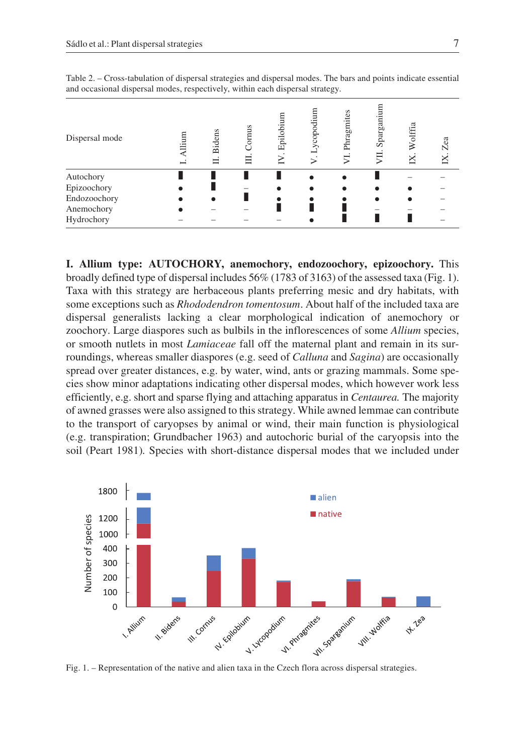| Dispersal mode | Allium<br>ئے ۔ | <b>Bidens</b> | Cornus | Epilobiu | ycopodium | Phragmites | Sparganiun | Wolffi | Zea |
|----------------|----------------|---------------|--------|----------|-----------|------------|------------|--------|-----|
| Autochory      |                |               |        |          |           |            |            |        |     |
| Epizoochory    |                |               |        |          |           |            |            |        |     |
| Endozoochory   |                |               |        |          |           |            |            |        |     |
| Anemochory     |                |               |        |          |           |            |            |        |     |
| Hydrochory     |                |               |        |          |           |            |            |        |     |

Table 2. – Cross-tabulation of dispersal strategies and dispersal modes. The bars and points indicate essential and occasional dispersal modes, respectively, within each dispersal strategy.

**I. Allium type: AUTOCHORY, anemochory, endozoochory, epizoochory.** This broadly defined type of dispersal includes 56% (1783 of 3163) of the assessed taxa (Fig. 1). Taxa with this strategy are herbaceous plants preferring mesic and dry habitats, with some exceptions such as *Rhododendron tomentosum*. About half of the included taxa are dispersal generalists lacking a clear morphological indication of anemochory or zoochory. Large diaspores such as bulbils in the inflorescences of some *Allium* species, or smooth nutlets in most *Lamiaceae* fall off the maternal plant and remain in its surroundings, whereas smaller diaspores (e.g. seed of *Calluna* and *Sagina*) are occasionally spread over greater distances, e.g. by water, wind, ants or grazing mammals. Some species show minor adaptations indicating other dispersal modes, which however work less efficiently, e.g. short and sparse flying and attaching apparatus in *Centaurea.* The majority of awned grasses were also assigned to this strategy. While awned lemmae can contribute to the transport of caryopses by animal or wind, their main function is physiological (e.g. transpiration; Grundbacher 1963) and autochoric burial of the caryopsis into the soil (Peart 1981)*.* Species with short-distance dispersal modes that we included under



Fig. 1. – Representation of the native and alien taxa in the Czech flora across dispersal strategies.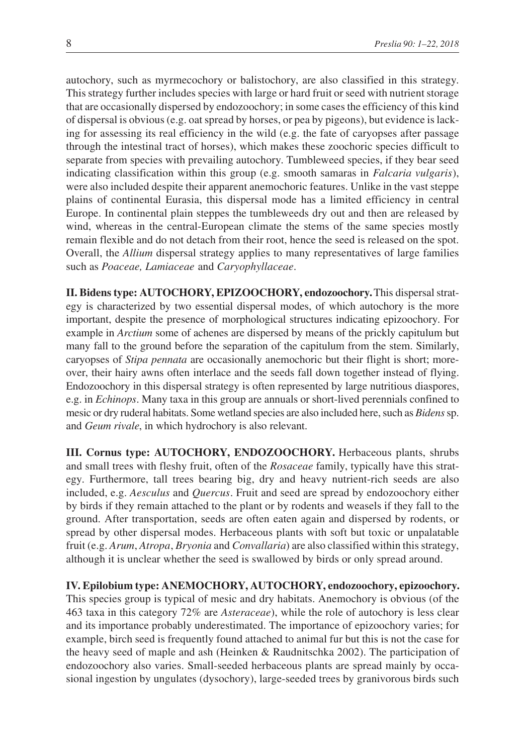autochory, such as myrmecochory or balistochory, are also classified in this strategy. This strategy further includes species with large or hard fruit or seed with nutrient storage that are occasionally dispersed by endozoochory; in some cases the efficiency of this kind of dispersal is obvious (e.g. oat spread by horses, or pea by pigeons), but evidence is lacking for assessing its real efficiency in the wild (e.g. the fate of caryopses after passage through the intestinal tract of horses), which makes these zoochoric species difficult to separate from species with prevailing autochory. Tumbleweed species, if they bear seed indicating classification within this group (e.g. smooth samaras in *Falcaria vulgaris*), were also included despite their apparent anemochoric features. Unlike in the vast steppe plains of continental Eurasia, this dispersal mode has a limited efficiency in central Europe. In continental plain steppes the tumbleweeds dry out and then are released by wind, whereas in the central-European climate the stems of the same species mostly remain flexible and do not detach from their root, hence the seed is released on the spot. Overall, the *Allium* dispersal strategy applies to many representatives of large families such as *Poaceae, Lamiaceae* and *Caryophyllaceae*.

**II. Bidens type: AUTOCHORY, EPIZOOCHORY, endozoochory.**This dispersal strategy is characterized by two essential dispersal modes, of which autochory is the more important, despite the presence of morphological structures indicating epizoochory. For example in *Arctium* some of achenes are dispersed by means of the prickly capitulum but many fall to the ground before the separation of the capitulum from the stem. Similarly, caryopses of *Stipa pennata* are occasionally anemochoric but their flight is short; moreover, their hairy awns often interlace and the seeds fall down together instead of flying. Endozoochory in this dispersal strategy is often represented by large nutritious diaspores, e.g. in *Echinops*. Many taxa in this group are annuals or short-lived perennials confined to mesic or dry ruderal habitats. Some wetland species are also included here, such as *Bidens*sp. and *Geum rivale*, in which hydrochory is also relevant.

**III. Cornus type: AUTOCHORY, ENDOZOOCHORY.** Herbaceous plants, shrubs and small trees with fleshy fruit, often of the *Rosaceae* family, typically have this strategy. Furthermore, tall trees bearing big, dry and heavy nutrient-rich seeds are also included, e.g. *Aesculus* and *Quercus*. Fruit and seed are spread by endozoochory either by birds if they remain attached to the plant or by rodents and weasels if they fall to the ground. After transportation, seeds are often eaten again and dispersed by rodents, or spread by other dispersal modes. Herbaceous plants with soft but toxic or unpalatable fruit (e.g. *Arum*, *Atropa*, *Bryonia* and *Convallaria*) are also classified within this strategy, although it is unclear whether the seed is swallowed by birds or only spread around.

**IV. Epilobium type: ANEMOCHORY, AUTOCHORY, endozoochory, epizoochory.** This species group is typical of mesic and dry habitats. Anemochory is obvious (of the 463 taxa in this category 72% are *Asteraceae*), while the role of autochory is less clear and its importance probably underestimated. The importance of epizoochory varies; for example, birch seed is frequently found attached to animal fur but this is not the case for the heavy seed of maple and ash (Heinken & Raudnitschka 2002). The participation of endozoochory also varies. Small-seeded herbaceous plants are spread mainly by occasional ingestion by ungulates (dysochory), large-seeded trees by granivorous birds such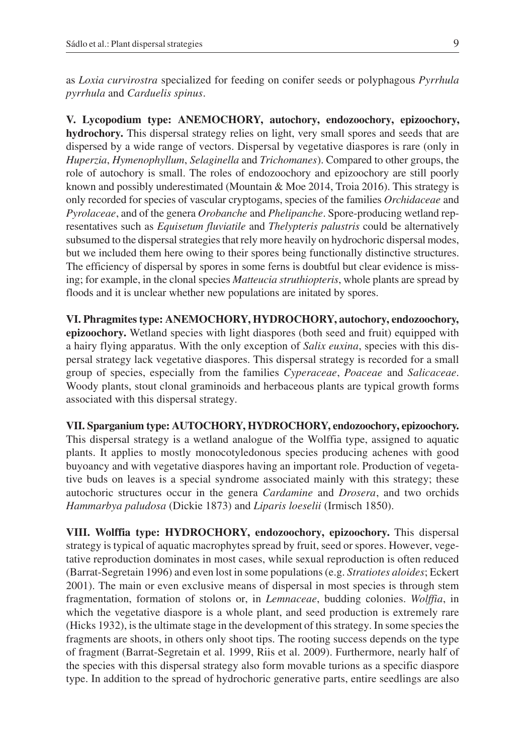as *Loxia curvirostra* specialized for feeding on conifer seeds or polyphagous *Pyrrhula pyrrhula* and *Carduelis spinus*.

**V. Lycopodium type: ANEMOCHORY, autochory, endozoochory, epizoochory, hydrochory.** This dispersal strategy relies on light, very small spores and seeds that are dispersed by a wide range of vectors. Dispersal by vegetative diaspores is rare (only in *Huperzia*, *Hymenophyllum*, *Selaginella* and *Trichomanes*). Compared to other groups, the role of autochory is small. The roles of endozoochory and epizoochory are still poorly known and possibly underestimated (Mountain & Moe 2014, Troia 2016). This strategy is only recorded for species of vascular cryptogams, species of the families *Orchidaceae* and *Pyrolaceae*, and of the genera *Orobanche* and *Phelipanche*. Spore-producing wetland representatives such as *Equisetum fluviatile* and *Thelypteris palustris* could be alternatively subsumed to the dispersal strategies that rely more heavily on hydrochoric dispersal modes, but we included them here owing to their spores being functionally distinctive structures. The efficiency of dispersal by spores in some ferns is doubtful but clear evidence is missing; for example, in the clonal species *Matteucia struthiopteris*, whole plants are spread by floods and it is unclear whether new populations are initated by spores.

**VI. Phragmites type: ANEMOCHORY, HYDROCHORY, autochory, endozoochory, epizoochory.** Wetland species with light diaspores (both seed and fruit) equipped with a hairy flying apparatus. With the only exception of *Salix euxina*, species with this dispersal strategy lack vegetative diaspores. This dispersal strategy is recorded for a small group of species, especially from the families *Cyperaceae*, *Poaceae* and *Salicaceae*. Woody plants, stout clonal graminoids and herbaceous plants are typical growth forms associated with this dispersal strategy.

**VII. Sparganium type: AUTOCHORY, HYDROCHORY, endozoochory, epizoochory.** This dispersal strategy is a wetland analogue of the Wolffia type, assigned to aquatic plants. It applies to mostly monocotyledonous species producing achenes with good buyoancy and with vegetative diaspores having an important role. Production of vegetative buds on leaves is a special syndrome associated mainly with this strategy; these autochoric structures occur in the genera *Cardamine* and *Drosera*, and two orchids *Hammarbya paludosa* (Dickie 1873) and *Liparis loeselii* (Irmisch 1850).

**VIII. Wolffia type: HYDROCHORY, endozoochory, epizoochory.** This dispersal strategy is typical of aquatic macrophytes spread by fruit, seed or spores. However, vegetative reproduction dominates in most cases, while sexual reproduction is often reduced (Barrat-Segretain 1996) and even lost in some populations (e.g. *Stratiotes aloides*; Eckert 2001). The main or even exclusive means of dispersal in most species is through stem fragmentation, formation of stolons or, in *Lemnaceae*, budding colonies. *Wolffia*, in which the vegetative diaspore is a whole plant, and seed production is extremely rare (Hicks 1932), is the ultimate stage in the development of this strategy. In some species the fragments are shoots, in others only shoot tips. The rooting success depends on the type of fragment (Barrat-Segretain et al. 1999, Riis et al. 2009). Furthermore, nearly half of the species with this dispersal strategy also form movable turions as a specific diaspore type. In addition to the spread of hydrochoric generative parts, entire seedlings are also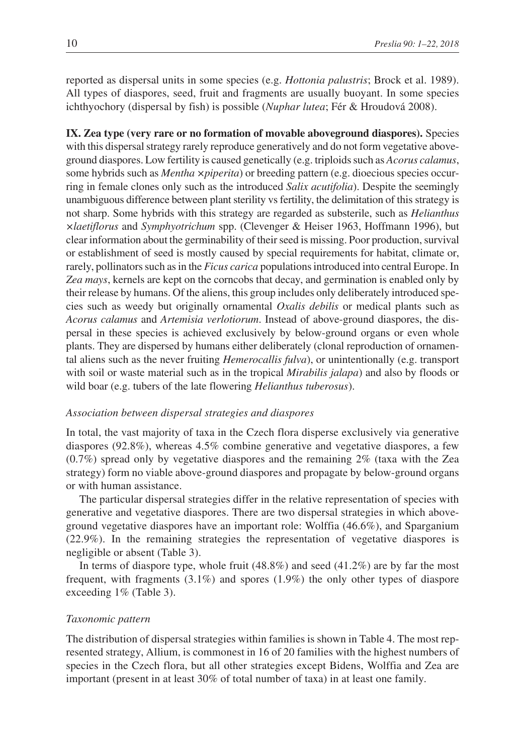reported as dispersal units in some species (e.g. *Hottonia palustris*; Brock et al. 1989). All types of diaspores, seed, fruit and fragments are usually buoyant. In some species ichthyochory (dispersal by fish) is possible (*Nuphar lutea*; Fér & Hroudová 2008).

**IX. Zea type (very rare or no formation of movable aboveground diaspores).** Species with this dispersal strategy rarely reproduce generatively and do not form vegetative aboveground diaspores. Low fertility is caused genetically (e.g. triploids such as *Acorus calamus*, some hybrids such as *Mentha ×piperita*) or breeding pattern (e.g. dioecious species occurring in female clones only such as the introduced *Salix acutifolia*). Despite the seemingly unambiguous difference between plant sterility vs fertility, the delimitation of this strategy is not sharp. Some hybrids with this strategy are regarded as substerile, such as *Helianthus ×laetiflorus* and *Symphyotrichum* spp. (Clevenger & Heiser 1963, Hoffmann 1996), but clear information about the germinability of their seed is missing. Poor production, survival or establishment of seed is mostly caused by special requirements for habitat, climate or, rarely, pollinators such as in the *Ficus carica* populations introduced into central Europe. In *Zea mays*, kernels are kept on the corncobs that decay, and germination is enabled only by their release by humans. Of the aliens, this group includes only deliberately introduced species such as weedy but originally ornamental *Oxalis debilis* or medical plants such as *Acorus calamus* and *Artemisia verlotiorum*. Instead of above-ground diaspores, the dispersal in these species is achieved exclusively by below-ground organs or even whole plants. They are dispersed by humans either deliberately (clonal reproduction of ornamental aliens such as the never fruiting *Hemerocallis fulva*), or unintentionally (e.g. transport with soil or waste material such as in the tropical *Mirabilis jalapa*) and also by floods or wild boar (e.g. tubers of the late flowering *Helianthus tuberosus*).

### *Association between dispersal strategies and diaspores*

In total, the vast majority of taxa in the Czech flora disperse exclusively via generative diaspores (92.8%), whereas 4.5% combine generative and vegetative diaspores, a few (0.7%) spread only by vegetative diaspores and the remaining 2% (taxa with the Zea strategy) form no viable above-ground diaspores and propagate by below-ground organs or with human assistance.

The particular dispersal strategies differ in the relative representation of species with generative and vegetative diaspores. There are two dispersal strategies in which aboveground vegetative diaspores have an important role: Wolffia (46.6%), and Sparganium (22.9%). In the remaining strategies the representation of vegetative diaspores is negligible or absent (Table 3).

In terms of diaspore type, whole fruit (48.8%) and seed (41.2%) are by far the most frequent, with fragments (3.1%) and spores (1.9%) the only other types of diaspore exceeding 1% (Table 3).

## *Taxonomic pattern*

The distribution of dispersal strategies within families is shown in Table 4. The most represented strategy, Allium, is commonest in 16 of 20 families with the highest numbers of species in the Czech flora, but all other strategies except Bidens, Wolffia and Zea are important (present in at least 30% of total number of taxa) in at least one family.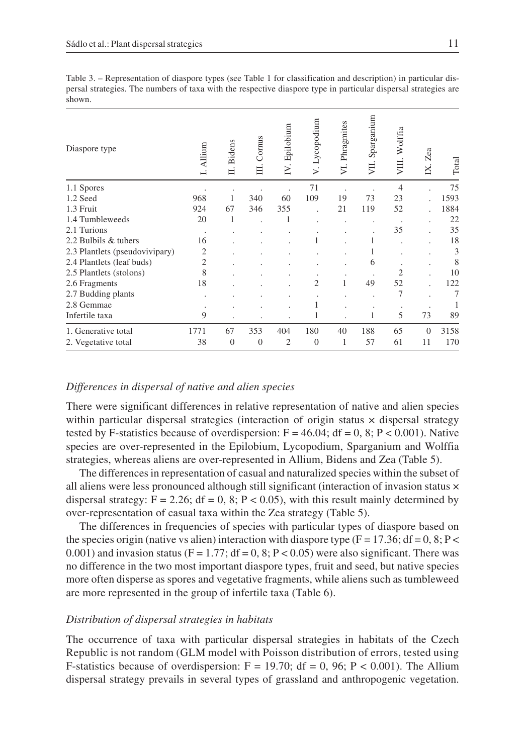| Diaspore type                  | Allium         | Bidens<br>ц | Cornus<br>目 | . Epilobium<br>Σ | Lycopodium<br>$\ddot{ }$ | Phragmites<br>$\overline{z}$ | Sparganium<br>УII. | Wolffia<br>買   | Zea<br>K. | Total |
|--------------------------------|----------------|-------------|-------------|------------------|--------------------------|------------------------------|--------------------|----------------|-----------|-------|
| 1.1 Spores                     |                |             |             |                  | 71                       |                              |                    | 4              |           | 75    |
| 1.2 Seed                       | 968            |             | 340         | 60               | 109                      | 19                           | 73                 | 23             |           | 1593  |
| 1.3 Fruit                      | 924            | 67          | 346         | 355              |                          | 21                           | 119                | 52             |           | 1884  |
| 1.4 Tumbleweeds                | 20             | 1           |             | 1                |                          |                              |                    |                |           | 22    |
| 2.1 Turions                    | $\cdot$        |             |             |                  |                          |                              |                    | 35             |           | 35    |
| 2.2 Bulbils & tubers           | 16             |             |             |                  |                          |                              |                    |                |           | 18    |
| 2.3 Plantlets (pseudovivipary) | 2              |             |             |                  |                          |                              |                    |                |           | 3     |
| 2.4 Plantlets (leaf buds)      | $\overline{2}$ |             |             |                  |                          |                              | 6                  |                |           | 8     |
| 2.5 Plantlets (stolons)        | 8              |             |             |                  |                          |                              |                    | $\overline{c}$ |           | 10    |
| 2.6 Fragments                  | 18             |             |             |                  | 2                        | 1                            | 49                 | 52             |           | 122   |
| 2.7 Budding plants             |                |             |             |                  |                          |                              |                    | 7              |           | 7     |
| 2.8 Gemmae                     |                |             |             |                  |                          |                              |                    |                |           |       |
| Infertile taxa                 | 9              |             |             |                  |                          |                              | 1                  | 5              | 73        | 89    |
| 1. Generative total            | 1771           | 67          | 353         | 404              | 180                      | 40                           | 188                | 65             | $\Omega$  | 3158  |
| 2. Vegetative total            | 38             | $\theta$    | $\theta$    | 2                | $\theta$                 | 1                            | 57                 | 61             | 11        | 170   |

### *Differences in dispersal of native and alien species*

There were significant differences in relative representation of native and alien species within particular dispersal strategies (interaction of origin status  $\times$  dispersal strategy tested by F-statistics because of overdispersion:  $F = 46.04$ ;  $df = 0$ , 8; P < 0.001). Native species are over-represented in the Epilobium, Lycopodium, Sparganium and Wolffia strategies, whereas aliens are over-represented in Allium, Bidens and Zea (Table 5).

The differences in representation of casual and naturalized species within the subset of all aliens were less pronounced although still significant (interaction of invasion status  $\times$ dispersal strategy:  $F = 2.26$ ;  $df = 0$ , 8;  $P < 0.05$ ), with this result mainly determined by over-representation of casual taxa within the Zea strategy (Table 5).

The differences in frequencies of species with particular types of diaspore based on the species origin (native vs alien) interaction with diaspore type ( $F = 17.36$ ; df = 0, 8; P < 0.001) and invasion status (F = 1.77; df = 0, 8; P < 0.05) were also significant. There was no difference in the two most important diaspore types, fruit and seed, but native species more often disperse as spores and vegetative fragments, while aliens such as tumbleweed are more represented in the group of infertile taxa (Table 6).

## *Distribution of dispersal strategies in habitats*

The occurrence of taxa with particular dispersal strategies in habitats of the Czech Republic is not random (GLM model with Poisson distribution of errors, tested using F-statistics because of overdispersion:  $F = 19.70$ ;  $df = 0$ ,  $96$ ;  $P < 0.001$ ). The Allium dispersal strategy prevails in several types of grassland and anthropogenic vegetation.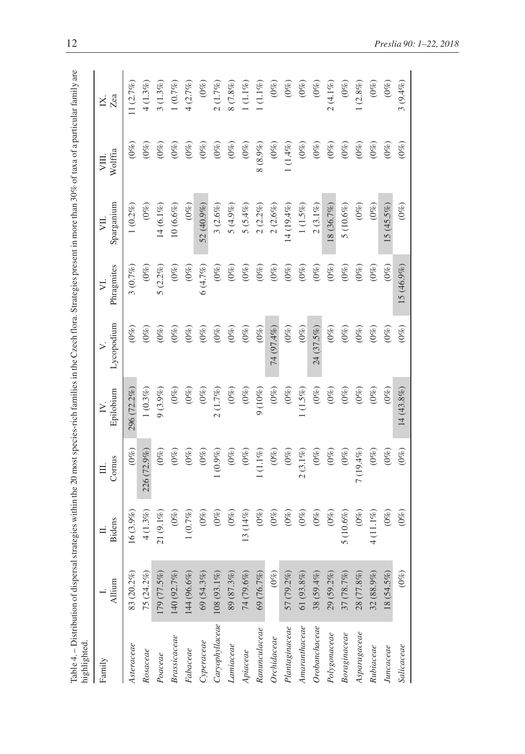| Table 4. – Distribution of dispersal strategies within the 20 most species-rich families in the Czech flora. Strategies present in more than 30% of taxa of a particular family are<br>highlighted. |                |             |               |                     |            |                 |                  |              |              |
|-----------------------------------------------------------------------------------------------------------------------------------------------------------------------------------------------------|----------------|-------------|---------------|---------------------|------------|-----------------|------------------|--------------|--------------|
| Family                                                                                                                                                                                              | Allium         | Bidens      | Cornus        | Epilobium<br>$\geq$ | Lycopodium | Phragmites<br>⋝ | Sparganium<br>ΣЦ | Wolffia<br>買 | Zea<br>Χ.    |
| Asteraceae                                                                                                                                                                                          | 83 (20.2%)     | $16(3.9\%$  | $(0\%)$       | 296 (72.2%)         | $(0\%)$    | 3(0.7%)         | $1(0.2\%)$       | $(0\%)$      | 11 $(2.7\%)$ |
| Rosaceae                                                                                                                                                                                            | 75 (24.2%)     | $4(1.3\%)$  | 226 (72.9%)   | $1(0.3\%)$          | $(0\%)$    | $(0\%)$         | $(0\%)$          | $(0\%)$      | $4(1.3\%)$   |
| Poaceae                                                                                                                                                                                             | 179 (77.5%)    | $21(9.1\%$  | $(0\%)$       | $9(3.9\%)$          | $(0\%)$    | $5(2.2\%)$      | $14(6.1\%$       | $(0\%)$      | $3(1.3\%)$   |
| <b>Brassicaceae</b>                                                                                                                                                                                 | 140 (92.7%)    | $(0\%)$     | $(0\%)$       | $(0\%)$             | $(0\%)$    | $(0\%)$         | $10(6.6\%)$      | $(0\%)$      | 1(0.7%)      |
| Fabaceae                                                                                                                                                                                            | $144 (96.6\%)$ | $1(0.7\%)$  | $(0\%)$       | $(0\%)$             | $(0\%)$    | $(0\%)$         | $(0\%)$          | $(0\%)$      | 4(2.7%)      |
| $C$ yperaceae                                                                                                                                                                                       | $69(54.3\%)$   | $(0\%)$     | $(0\%)$       | $(0\%)$             | $(0\%)$    | 6(4.7%)         | 52 (40.9%)       | $(0\%)$      | $(0\%)$      |
| Caryophyllace                                                                                                                                                                                       | $108(93.1\%)$  | $(0\%)$     | $1\, (0.9\%)$ | $2(1.7\%)$          | $(0\%)$    | $(0\%)$         | $3(2.6\%)$       | $(0\%)$      | $2(1.7\%)$   |
| Lamiaceae                                                                                                                                                                                           | 89 (87.3%)     | $(0\%)$     | $(0\%)$       | $(0\%)$             | $(0\%)$    | $(0\%)$         | $5(4.9\%)$       | $(0\%)$      | 8(7.8%)      |
| Apiaceae                                                                                                                                                                                            | 74 (79.6%)     | $13(14\%)$  | $(0\%)$       | $(0\%)$             | $(0\%)$    | $(0\%)$         | $5(5.4\%)$       | $(0\%)$      | $(1.1\%)$    |
| Ranunculaceae                                                                                                                                                                                       | 69 (76.7%)     | $(0\%)$     | $1\,(1.1\%)$  | 9(10%)              | $(0\%)$    | $(0\%)$         | $2(2.2\%)$       | $8(8.9\%)$   | $1(1.1\%)$   |
| Orchidaceae                                                                                                                                                                                         | $(0\%)$        | $(0\%)$     | $(0\%)$       | $(0\%)$             | 74 (97.4%) | $(0\%)$         | $2(2.6\%)$       | $(0\%)$      | $(0\%)$      |
| Planic case                                                                                                                                                                                         | 57 (79.2%)     | $(0\%)$     | $(0\%)$       | $(0\%)$             | $(0\%)$    | $(0\%)$         | $14(19.4\%)$     | $1(1.4\%)$   | $(0\%)$      |
| $A {\it m} a {\it r} {\it an} {\it th} a c e a e$                                                                                                                                                   | 61 (93.8%)     | $(0\%)$     | $2(3.1\%)$    | $1(1.5\%)$          | $(0\%)$    | $(0\%)$         | $1(1.5\%)$       | $(0\%)$      | $(0\%)$      |
| Orobanchaceae                                                                                                                                                                                       | $38(59.4\%)$   | $(0\%)$     | $(0\%)$       | $(0\%)$             | 24 (37.5%) | $(0\%)$         | $2(3.1\%)$       | $(0\%)$      | $(0\%)$      |
| Polygonaceae                                                                                                                                                                                        | $29(59.2\%)$   | $(0\%)$     | $(0\%)$       | $(0\%)$             | $(0\%)$    | $(0\%)$         | 18 (36.7%)       | $(0\%)$      | $2(4.1\%)$   |
| Boraginaceae                                                                                                                                                                                        | 37(78.7%)      | 5 $(10.6\%$ | $(0\%)$       | $(0\%)$             | $(0\%)$    | $(0\%)$         | $5(10.6\%)$      | $(0\%)$      | $(0\%)$      |
| Asparagaceae                                                                                                                                                                                        | $28(77.8\%)$   | $(0\%)$     | $7(19.4\%)$   | $(0\%)$             | $(0\%)$    | $(0\%)$         | $(0\%)$          | $(0\%)$      | $(2.8\%)$    |
| Rubiaceae                                                                                                                                                                                           | $32 (88.9\%)$  | $4(11.1\%)$ | $(0\%)$       | $(0\%)$             | $(0\%)$    | $(0\%)$         | $(0\%)$          | $(0\%)$      | $(0\%)$      |
| Juncaceae                                                                                                                                                                                           | $18(54.5\%)$   | $(0\%)$     | $(0\%)$       | $(0\%)$             | $(0\%)$    | $(0\%)$         | $15(45.5\%)$     | $(0\%)$      | $(0\%)$      |
| Salicaceae                                                                                                                                                                                          | $(0\%)$        | $(0\%)$     | $(0\%)$       | $14(43.8\%)$        | $(0\%)$    | 15 (46.9%)      | $(0\%)$          | $(0\%)$      | $3(9.4\%)$   |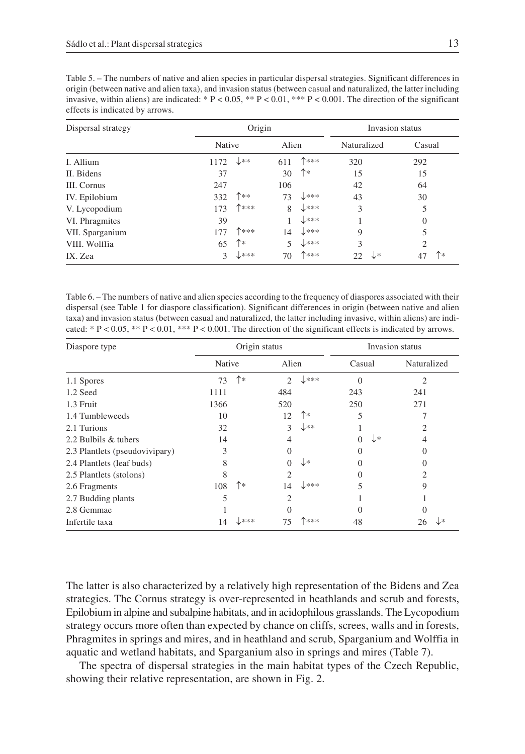| Dispersal strategy |        | Origin           |       |                  |             | Invasion status            |
|--------------------|--------|------------------|-------|------------------|-------------|----------------------------|
|                    | Native |                  | Alien |                  | Naturalized | Casual                     |
| I. Allium          | 1172   | $\downarrow$ **  | 611   | ↑***             | 320         | 292                        |
| II. Bidens         | 37     |                  | 30    | ↑∗               | 15          | 15                         |
| <b>III.</b> Cornus | 247    |                  | 106   |                  | 42          | 64                         |
| IV. Epilobium      | 332    | ↑**              | 73    | $\downarrow$ *** | 43          | 30                         |
| V. Lycopodium      | 173    | 个米米米             | 8     | ↓∗∗∗             | 3           | 5                          |
| VI. Phragmites     | 39     |                  |       | $\downarrow$ *** |             | $\Omega$                   |
| VII. Sparganium    | 177    | ↑***             | 14    | $\downarrow$ *** | 9           | 5                          |
| VIII. Wolffia      | 65     | ↑∗               | 5     | ↓∗∗∗             | 3           | 2                          |
| IX. Zea            | 3      | $\downarrow$ *** | 70    | ↑***             | 22          | ↑∗<br>$\downarrow$ *<br>47 |

Table 6. – The numbers of native and alien species according to the frequency of diaspores associated with their dispersal (see Table 1 for diaspore classification). Significant differences in origin (between native and alien taxa) and invasion status (between casual and naturalized, the latter including invasive, within aliens) are indicated: \*  $P < 0.05$ , \*\*  $P < 0.01$ , \*\*\*  $P < 0.001$ . The direction of the significant effects is indicated by arrows.

| Diaspore type                  |        | Origin status |                |                  |        | Invasion status |
|--------------------------------|--------|---------------|----------------|------------------|--------|-----------------|
|                                | Native |               | Alien          |                  | Casual | Naturalized     |
| 1.1 Spores                     | 73     | ↑∗            | $\mathfrak{2}$ | $\downarrow$ *** | 0      | $\overline{2}$  |
| 1.2 Seed                       | 1111   |               | 484            |                  | 243    | 241             |
| 1.3 Fruit                      | 1366   |               | 520            |                  | 250    | 271             |
| 1.4 Tumbleweeds                | 10     |               | 12             | ↑∗               | 5      |                 |
| 2.1 Turions                    | 32     |               | 3              | ↓∗∗              |        |                 |
| 2.2 Bulbils & tubers           | 14     |               | 4              |                  | ↓∗     | 4               |
| 2.3 Plantlets (pseudovivipary) | 3      |               |                |                  | 0      | 0               |
| 2.4 Plantlets (leaf buds)      | 8      |               |                | ↓∗               |        |                 |
| 2.5 Plantlets (stolons)        | 8      |               | $\overline{c}$ |                  | 0      | 2               |
| 2.6 Fragments                  | 108    | ↑∗            | 14             | $\downarrow$ *** |        | 9               |
| 2.7 Budding plants             | 5      |               | $\mathfrak{D}$ |                  |        |                 |
| 2.8 Gemmae                     |        |               |                |                  |        |                 |
| Infertile taxa                 | 14     | 米米米           | 75             | ▶***             | 48     | l∗<br>26        |

The latter is also characterized by a relatively high representation of the Bidens and Zea strategies. The Cornus strategy is over-represented in heathlands and scrub and forests, Epilobium in alpine and subalpine habitats, and in acidophilous grasslands. The Lycopodium strategy occurs more often than expected by chance on cliffs, screes, walls and in forests, Phragmites in springs and mires, and in heathland and scrub, Sparganium and Wolffia in aquatic and wetland habitats, and Sparganium also in springs and mires (Table 7).

The spectra of dispersal strategies in the main habitat types of the Czech Republic, showing their relative representation, are shown in Fig. 2.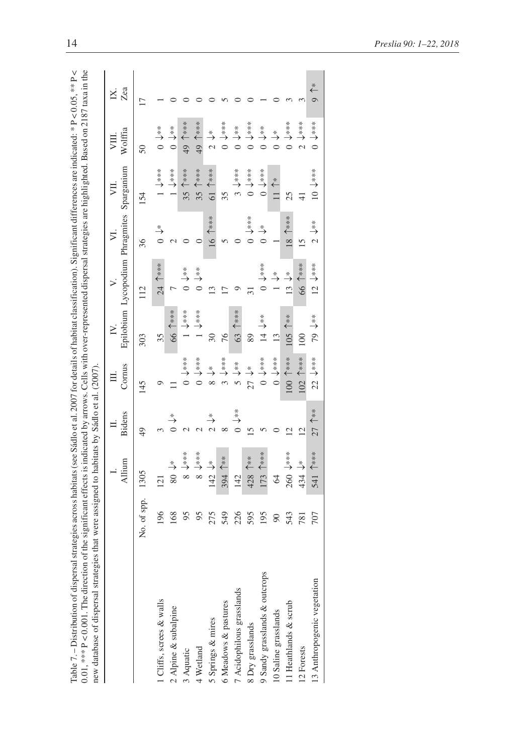|                      | n the                                                                                      |                               |
|----------------------|--------------------------------------------------------------------------------------------|-------------------------------|
| X                    |                                                                                            |                               |
|                      |                                                                                            |                               |
| $\frac{1}{2}$        | $0.107 + 0.04$                                                                             |                               |
|                      |                                                                                            |                               |
|                      |                                                                                            |                               |
|                      |                                                                                            |                               |
|                      |                                                                                            |                               |
|                      | $\frac{1}{2}$<br>Ĩ                                                                         |                               |
|                      |                                                                                            |                               |
|                      |                                                                                            |                               |
|                      |                                                                                            |                               |
| ------               |                                                                                            |                               |
| الموارد المستداد     |                                                                                            |                               |
| Į                    |                                                                                            |                               |
|                      |                                                                                            |                               |
|                      |                                                                                            |                               |
| i                    |                                                                                            |                               |
|                      | ֧֦֧֦֦֦֧֦֦֦֧֦֦֧֦֦֦֧֦֦֦֧֦֦֧֦֧֦֧֪֦֧֦֧֪֦֧֪֪֦֧֪֪֪֪֪֪֪֪֪֪֪֛֪֪֛֞֝֝֝֝֝֬֝֟֓֟֓֟֓֟֓֝֬֝֓֞֝֬֞֝֓֝֓֝֬֝֬֝֬ |                               |
| ام عملاً علم ا       |                                                                                            |                               |
| Ĭ                    |                                                                                            |                               |
|                      | <b>CONTRACT</b>                                                                            |                               |
| i, ann far datail    |                                                                                            | $\sim$<br>ì                   |
|                      |                                                                                            |                               |
|                      |                                                                                            |                               |
| $\frac{1}{2}$        |                                                                                            | i                             |
|                      |                                                                                            |                               |
|                      |                                                                                            |                               |
| $. + 0. + 0.1040$    |                                                                                            |                               |
|                      |                                                                                            |                               |
|                      |                                                                                            |                               |
|                      |                                                                                            |                               |
| CONCORDINAL          | ha cirmitica:                                                                              | sies mar were assigned to the |
| ,,,,,,               |                                                                                            |                               |
| collected in case of |                                                                                            |                               |
| į<br>١               | .<br>م<br>)<br>1<br>I                                                                      | å                             |
| i<br>ĭ               | i                                                                                          | $-1$<br>$\frac{1}{2}$         |
|                      |                                                                                            |                               |
| I                    |                                                                                            | C esc.                        |
|                      |                                                                                            |                               |
| į                    |                                                                                            | ctanas ct                     |
|                      | r<br>Saint-                                                                                | ١                             |
|                      | é                                                                                          |                               |
| i                    | ……こうこう<br>$\frac{1}{2}$                                                                    | n am d                        |

| new database of dispersal strategies that were assigned to habitats by Sádlo et al. (2007). |             |                     |                             |                                                |                               |                                                          |                                       |                              |                                               |                                      |
|---------------------------------------------------------------------------------------------|-------------|---------------------|-----------------------------|------------------------------------------------|-------------------------------|----------------------------------------------------------|---------------------------------------|------------------------------|-----------------------------------------------|--------------------------------------|
|                                                                                             |             | Allium              | Bidens                      | Cornus                                         | $\geq$                        | Epilobium Lycopodium Phragmites<br>$\geq$                | ⋝                                     | Sparganium<br>Σ              | Wolffia                                       | Zea<br>×                             |
|                                                                                             | No. of spp. | 1305                | 49                          | 45                                             | 303                           | 112                                                      | 36                                    | 154                          | $\overline{50}$                               |                                      |
| 1 Cliffs, screes & walls                                                                    | 196         | 121                 |                             |                                                | 35                            | 24 个***                                                  | $\stackrel{*}{\rightarrow}$           | $*$<br>$*$<br>$*$<br>$*$     | $\stackrel{*}{\rightarrow}$<br>$\frac{1}{2}$  |                                      |
| 2 Alpine & subalpine                                                                        | 168         | $80 \div$           | $\stackrel{*}{\rightarrow}$ |                                                | 66 1***                       |                                                          |                                       | $*$ $*$ $*$                  | $0 \downarrow^*$                              |                                      |
| 3 Aquatic                                                                                   | 95          | 8 ↓***              |                             | $0 \downarrow$ ***                             | $1 +$                         | $\bigcirc$ $\stackrel{*}{\rightarrow}$                   |                                       | $*$ $*$<br>35                | 49 1 ***                                      |                                      |
| 4 Wetland                                                                                   | 95          | $*$ $*$<br>$\infty$ |                             | $\stackrel{*}{\rightarrow}$<br>$\tilde{\circ}$ | $\stackrel{***}{\rightarrow}$ | $\begin{array}{c}\n0 \\ \rightarrow \infty\n\end{array}$ |                                       | 35                           | $***$<br>49                                   |                                      |
| 5 Springs & mires                                                                           | 275         | $142 \downarrow$ *  | $\stackrel{*}{\rightarrow}$ | $\stackrel{*}{\rightarrow}$<br>$\infty$        | 30                            | $\overline{13}$                                          | 16 1***                               | 61 1***                      | $\stackrel{*}{\rightarrow}$<br>$\overline{c}$ |                                      |
| 6 Meadows & pastures                                                                        | 549         | 394 个**             |                             | $*$<br>$*$<br>$\epsilon$                       | 76                            |                                                          |                                       | 35                           | $*$ $*$<br>$\circ$                            |                                      |
| 7 Acidophilous grasslands                                                                   | 226         | 142                 | $\stackrel{*}{\rightarrow}$ | $\stackrel{*}{\rightarrow}$<br>$\sqrt{2}$      | 63 1***                       |                                                          |                                       | $*$<br>$\tilde{\varepsilon}$ | $\stackrel{*}{\rightarrow}$<br>$\ddot{\circ}$ |                                      |
| 8 Dry grasslands                                                                            | 595         | 428 1**             |                             | $27 +$                                         | 89                            |                                                          | $0 \downarrow$ ***                    | $0 \downarrow^{***}$         | $0 \downarrow$ ***                            |                                      |
| 9 Sandy grasslands & outcrops                                                               | 195         | 173 1***            |                             | $\bigcirc$                                     | $14 \sqrt{**}$                | $\bigcirc$                                               | $\begin{array}{c} * \\ 0 \end{array}$ | $0 \downarrow^{***}$         | $0 \downarrow^*$                              |                                      |
| 10 Saline grasslands                                                                        | 90          | $\Im$               |                             | $0 \downarrow^{***}$                           | 13                            | $\stackrel{*}{\rightarrow}$                              |                                       | $11$ <sup>*</sup>            | $\stackrel{*}{\rightarrow}$                   |                                      |
| 11 Heathlands & scrub                                                                       | 543         | $260 +$ ***         | $\overline{\mathcal{C}}$    | 100 ↑***                                       | 105 个**                       | $\stackrel{*}{\rightarrow}$<br>$\frac{3}{2}$             | $8^{***}$                             | 25                           | $\bigcirc$                                    |                                      |
| 12 Forests                                                                                  | 781         | 434 $\downarrow^*$  | $\overline{12}$             | 102 个***                                       | 100                           | $* * * *$<br>.<br>66                                     | 15                                    | $\frac{1}{4}$                | $*$<br>$\overline{C}$                         |                                      |
| 13 Anthropogenic vegetation                                                                 | 707         | 541 个***            | 27 1**                      | $22 \downarrow***$                             | 79 ↓**                        | $12 \frac{1}{2}$                                         | $2 + *$                               | $10****$                     | $0 \downarrow^{***}$                          | $\overset{*}{\leftarrow}$<br>$\circ$ |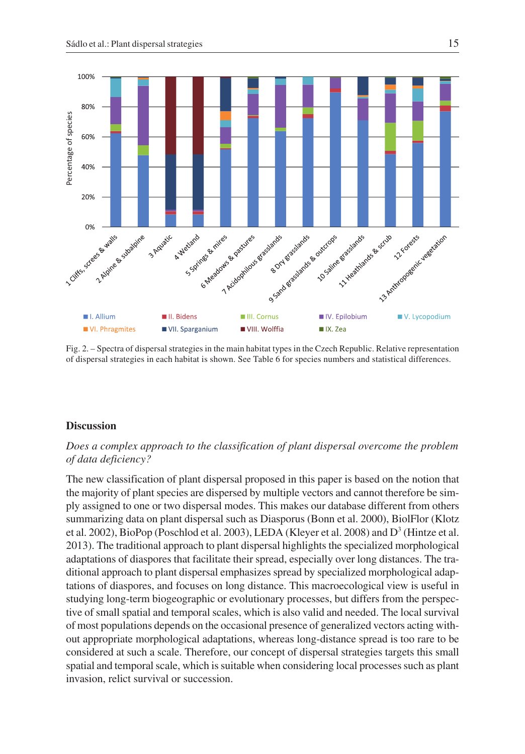

Fig. 2. – Spectra of dispersal strategies in the main habitat types in the Czech Republic. Relative representation of dispersal strategies in each habitat is shown. See Table 6 for species numbers and statistical differences.

## **Discussion**

# *Does a complex approach to the classification of plant dispersal overcome the problem of data deficiency?*

The new classification of plant dispersal proposed in this paper is based on the notion that the majority of plant species are dispersed by multiple vectors and cannot therefore be simply assigned to one or two dispersal modes. This makes our database different from others summarizing data on plant dispersal such as Diasporus (Bonn et al. 2000), BiolFlor (Klotz et al. 2002), BioPop (Poschlod et al. 2003), LEDA (Kleyer et al. 2008) and  $D<sup>3</sup>$  (Hintze et al. 2013). The traditional approach to plant dispersal highlights the specialized morphological adaptations of diaspores that facilitate their spread, especially over long distances. The traditional approach to plant dispersal emphasizes spread by specialized morphological adaptations of diaspores, and focuses on long distance. This macroecological view is useful in studying long-term biogeographic or evolutionary processes, but differs from the perspective of small spatial and temporal scales, which is also valid and needed. The local survival of most populations depends on the occasional presence of generalized vectors acting without appropriate morphological adaptations, whereas long-distance spread is too rare to be considered at such a scale. Therefore, our concept of dispersal strategies targets this small spatial and temporal scale, which is suitable when considering local processes such as plant invasion, relict survival or succession.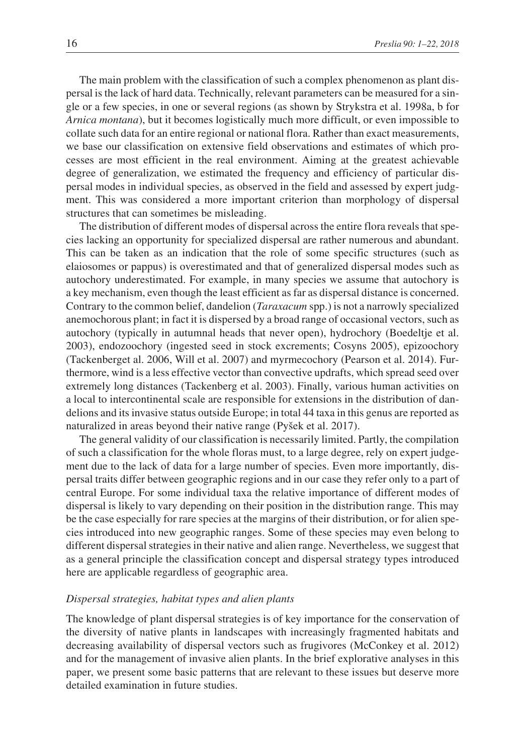The main problem with the classification of such a complex phenomenon as plant dispersal is the lack of hard data. Technically, relevant parameters can be measured for a single or a few species, in one or several regions (as shown by Strykstra et al. 1998a, b for *Arnica montana*), but it becomes logistically much more difficult, or even impossible to collate such data for an entire regional or national flora. Rather than exact measurements, we base our classification on extensive field observations and estimates of which processes are most efficient in the real environment. Aiming at the greatest achievable degree of generalization, we estimated the frequency and efficiency of particular dispersal modes in individual species, as observed in the field and assessed by expert judgment. This was considered a more important criterion than morphology of dispersal structures that can sometimes be misleading.

The distribution of different modes of dispersal across the entire flora reveals that species lacking an opportunity for specialized dispersal are rather numerous and abundant. This can be taken as an indication that the role of some specific structures (such as elaiosomes or pappus) is overestimated and that of generalized dispersal modes such as autochory underestimated. For example, in many species we assume that autochory is a key mechanism, even though the least efficient as far as dispersal distance is concerned. Contrary to the common belief, dandelion (*Taraxacum* spp.) is not a narrowly specialized anemochorous plant; in fact it is dispersed by a broad range of occasional vectors, such as autochory (typically in autumnal heads that never open), hydrochory (Boedeltje et al. 2003), endozoochory (ingested seed in stock excrements; Cosyns 2005), epizoochory (Tackenberget al. 2006, Will et al. 2007) and myrmecochory (Pearson et al. 2014). Furthermore, wind is a less effective vector than convective updrafts, which spread seed over extremely long distances (Tackenberg et al. 2003). Finally, various human activities on a local to intercontinental scale are responsible for extensions in the distribution of dandelions and its invasive status outside Europe; in total 44 taxa in this genus are reported as naturalized in areas beyond their native range (Pyšek et al. 2017).

The general validity of our classification is necessarily limited. Partly, the compilation of such a classification for the whole floras must, to a large degree, rely on expert judgement due to the lack of data for a large number of species. Even more importantly, dispersal traits differ between geographic regions and in our case they refer only to a part of central Europe. For some individual taxa the relative importance of different modes of dispersal is likely to vary depending on their position in the distribution range. This may be the case especially for rare species at the margins of their distribution, or for alien species introduced into new geographic ranges. Some of these species may even belong to different dispersal strategies in their native and alien range. Nevertheless, we suggest that as a general principle the classification concept and dispersal strategy types introduced here are applicable regardless of geographic area.

# *Dispersal strategies, habitat types and alien plants*

The knowledge of plant dispersal strategies is of key importance for the conservation of the diversity of native plants in landscapes with increasingly fragmented habitats and decreasing availability of dispersal vectors such as frugivores (McConkey et al. 2012) and for the management of invasive alien plants. In the brief explorative analyses in this paper, we present some basic patterns that are relevant to these issues but deserve more detailed examination in future studies.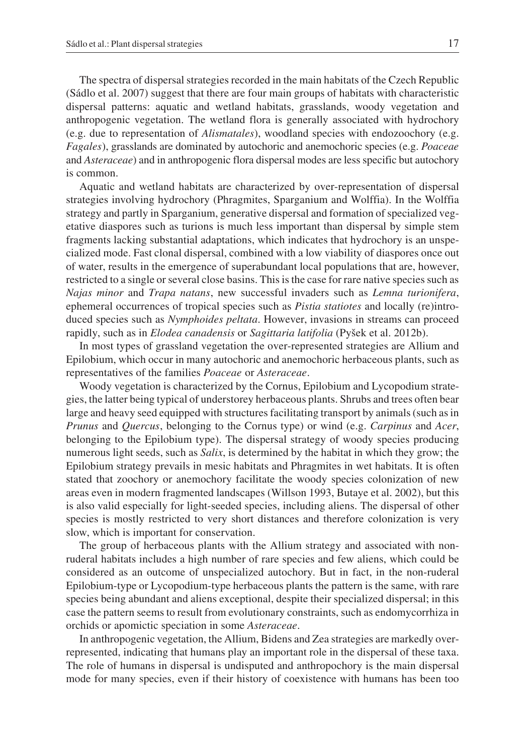The spectra of dispersal strategies recorded in the main habitats of the Czech Republic (Sádlo et al. 2007) suggest that there are four main groups of habitats with characteristic dispersal patterns: aquatic and wetland habitats, grasslands, woody vegetation and anthropogenic vegetation. The wetland flora is generally associated with hydrochory (e.g. due to representation of *Alismatales*), woodland species with endozoochory (e.g. *Fagales*), grasslands are dominated by autochoric and anemochoric species (e.g. *Poaceae* and *Asteraceae*) and in anthropogenic flora dispersal modes are less specific but autochory is common.

Aquatic and wetland habitats are characterized by over-representation of dispersal strategies involving hydrochory (Phragmites, Sparganium and Wolffia). In the Wolffia strategy and partly in Sparganium, generative dispersal and formation of specialized vegetative diaspores such as turions is much less important than dispersal by simple stem fragments lacking substantial adaptations, which indicates that hydrochory is an unspecialized mode. Fast clonal dispersal, combined with a low viability of diaspores once out of water, results in the emergence of superabundant local populations that are, however, restricted to a single or several close basins. This is the case for rare native species such as *Najas minor* and *Trapa natans*, new successful invaders such as *Lemna turionifera*, ephemeral occurrences of tropical species such as *Pistia statiotes* and locally (re)introduced species such as *Nymphoides peltata*. However, invasions in streams can proceed rapidly, such as in *Elodea canadensis* or *Sagittaria latifolia* (Pyšek et al. 2012b).

In most types of grassland vegetation the over-represented strategies are Allium and Epilobium, which occur in many autochoric and anemochoric herbaceous plants, such as representatives of the families *Poaceae* or *Asteraceae*.

Woody vegetation is characterized by the Cornus, Epilobium and Lycopodium strategies, the latter being typical of understorey herbaceous plants. Shrubs and trees often bear large and heavy seed equipped with structures facilitating transport by animals (such as in *Prunus* and *Quercus*, belonging to the Cornus type) or wind (e.g. *Carpinus* and *Acer*, belonging to the Epilobium type). The dispersal strategy of woody species producing numerous light seeds, such as *Salix*, is determined by the habitat in which they grow; the Epilobium strategy prevails in mesic habitats and Phragmites in wet habitats. It is often stated that zoochory or anemochory facilitate the woody species colonization of new areas even in modern fragmented landscapes (Willson 1993, Butaye et al. 2002), but this is also valid especially for light-seeded species, including aliens. The dispersal of other species is mostly restricted to very short distances and therefore colonization is very slow, which is important for conservation.

The group of herbaceous plants with the Allium strategy and associated with nonruderal habitats includes a high number of rare species and few aliens, which could be considered as an outcome of unspecialized autochory. But in fact, in the non-ruderal Epilobium-type or Lycopodium-type herbaceous plants the pattern is the same, with rare species being abundant and aliens exceptional, despite their specialized dispersal; in this case the pattern seems to result from evolutionary constraints, such as endomycorrhiza in orchids or apomictic speciation in some *Asteraceae*.

In anthropogenic vegetation, the Allium, Bidens and Zea strategies are markedly overrepresented, indicating that humans play an important role in the dispersal of these taxa. The role of humans in dispersal is undisputed and anthropochory is the main dispersal mode for many species, even if their history of coexistence with humans has been too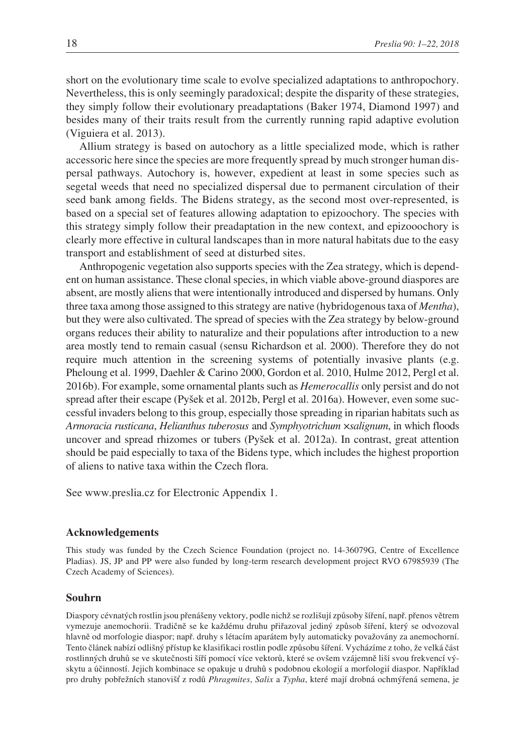short on the evolutionary time scale to evolve specialized adaptations to anthropochory. Nevertheless, this is only seemingly paradoxical; despite the disparity of these strategies, they simply follow their evolutionary preadaptations (Baker 1974, Diamond 1997) and besides many of their traits result from the currently running rapid adaptive evolution (Viguiera et al. 2013).

Allium strategy is based on autochory as a little specialized mode, which is rather accessoric here since the species are more frequently spread by much stronger human dispersal pathways. Autochory is, however, expedient at least in some species such as segetal weeds that need no specialized dispersal due to permanent circulation of their seed bank among fields. The Bidens strategy, as the second most over-represented, is based on a special set of features allowing adaptation to epizoochory. The species with this strategy simply follow their preadaptation in the new context, and epizooochory is clearly more effective in cultural landscapes than in more natural habitats due to the easy transport and establishment of seed at disturbed sites.

Anthropogenic vegetation also supports species with the Zea strategy, which is dependent on human assistance. These clonal species, in which viable above-ground diaspores are absent, are mostly aliens that were intentionally introduced and dispersed by humans. Only three taxa among those assigned to this strategy are native (hybridogenous taxa of *Mentha*), but they were also cultivated. The spread of species with the Zea strategy by below-ground organs reduces their ability to naturalize and their populations after introduction to a new area mostly tend to remain casual (sensu Richardson et al. 2000). Therefore they do not require much attention in the screening systems of potentially invasive plants (e.g. Pheloung et al. 1999, Daehler & Carino 2000, Gordon et al. 2010, Hulme 2012, Pergl et al. 2016b). For example, some ornamental plants such as *Hemerocallis* only persist and do not spread after their escape (Pyšek et al. 2012b, Pergl et al. 2016a). However, even some successful invaders belong to this group, especially those spreading in riparian habitats such as *Armoracia rusticana*, *Helianthus tuberosus* and *Symphyotrichum* ×*salignum*, in which floods uncover and spread rhizomes or tubers (Pyšek et al. 2012a). In contrast, great attention should be paid especially to taxa of the Bidens type, which includes the highest proportion of aliens to native taxa within the Czech flora.

See www.preslia.cz for Electronic Appendix 1.

### **Acknowledgements**

This study was funded by the Czech Science Foundation (project no. 14-36079G, Centre of Excellence Pladias). JS, JP and PP were also funded by long-term research development project RVO 67985939 (The Czech Academy of Sciences).

#### **Souhrn**

Diaspory cévnatých rostlin jsou přenášeny vektory, podle nichž se rozlišují způsoby šíření, např. přenos větrem vymezuje anemochorii. Tradičně se ke každému druhu přiřazoval jediný způsob šíření, který se odvozoval hlavně od morfologie diaspor; např. druhy s létacím aparátem byly automaticky považovány za anemochorní. Tento článek nabízí odlišný přístup ke klasifikaci rostlin podle způsobu šíření. Vycházíme z toho, že velká část rostlinných druhů se ve skutečnosti šíří pomocí více vektorů, které se ovšem vzájemně liší svou frekvencí výskytu a účinností. Jejich kombinace se opakuje u druhů s podobnou ekologií a morfologií diaspor. Například pro druhy pobřežních stanovišť z rodů *Phragmites*, *Salix* a *Typha*, které mají drobná ochmýřená semena, je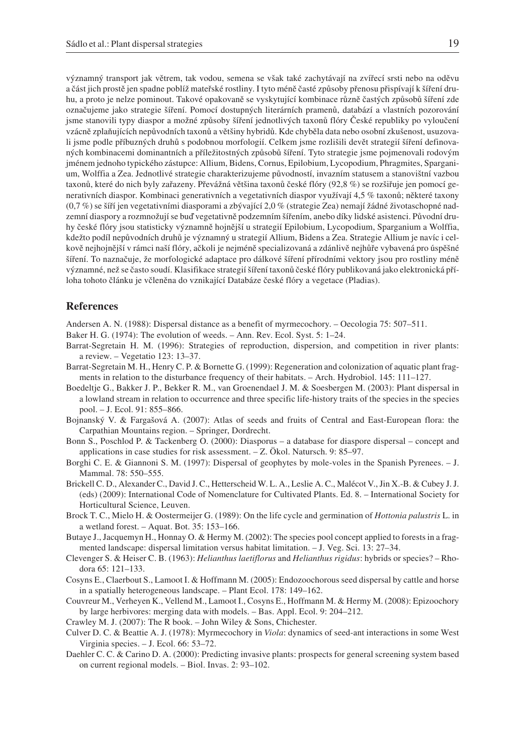významný transport jak větrem, tak vodou, semena se však také zachytávají na zvířecí srsti nebo na oděvu a část jich prostě jen spadne poblíž mateřské rostliny. I tyto méně časté způsoby přenosu přispívají k šíření druhu, a proto je nelze pominout. Takové opakovaně se vyskytující kombinace různě častých způsobů šíření zde označujeme jako strategie šíření. Pomocí dostupných literárních pramenů, databází a vlastních pozorování jsme stanovili typy diaspor a možné způsoby šíření jednotlivých taxonů flóry České republiky po vyloučení vzácně zplaňujících nepůvodních taxonů a většiny hybridů. Kde chyběla data nebo osobní zkušenost, usuzovali jsme podle příbuzných druhů s podobnou morfologií. Celkem jsme rozlišili devět strategií šíření definovaných kombinacemi dominantních a příležitostných způsobů šíření. Tyto strategie jsme pojmenovali rodovým jménem jednoho typického zástupce: Allium, Bidens, Cornus, Epilobium, Lycopodium, Phragmites, Sparganium, Wolffia a Zea. Jednotlivé strategie charakterizujeme původností, invazním statusem a stanovištní vazbou taxonů, které do nich byly zařazeny. Převážná většina taxonů české flóry (92,8 %) se rozšiřuje jen pomocí generativních diaspor. Kombinaci generativních a vegetativních diaspor využívají 4,5 % taxonů; některé taxony (0,7 %) se šíří jen vegetativními diasporami a zbývající 2,0 % (strategie Zea) nemají žádné životaschopné nadzemní diaspory a rozmnožují se buď vegetativně podzemním šířením, anebo díky lidské asistenci. Původní druhy české flóry jsou statisticky významně hojnější u strategií Epilobium, Lycopodium, Sparganium a Wolffia, kdežto podíl nepůvodních druhů je významný u strategií Allium, Bidens a Zea. Strategie Allium je navíc i celkově nejhojnější v rámci naší flóry, ačkoli je nejméně specializovaná a zdánlivě nejhůře vybavená pro úspěšné šíření. To naznačuje, že morfologické adaptace pro dálkové šíření přírodními vektory jsou pro rostliny méně významné, než se často soudí. Klasifikace strategií šíření taxonů české flóry publikovaná jako elektronická příloha tohoto článku je včleněna do vznikající Databáze české flóry a vegetace (Pladias).

## **References**

Andersen A. N. (1988): Dispersal distance as a benefit of myrmecochory. – Oecologia 75: 507–511.

- Baker H. G. (1974): The evolution of weeds. Ann. Rev. Ecol. Syst. 5: 1–24.
- Barrat-Segretain H. M. (1996): Strategies of reproduction, dispersion, and competition in river plants: a review. – Vegetatio 123: 13–37.
- Barrat-Segretain M. H., Henry C. P. & Bornette G. (1999): Regeneration and colonization of aquatic plant fragments in relation to the disturbance frequency of their habitats. – Arch. Hydrobiol. 145: 111–127.
- Boedeltje G., Bakker J. P., Bekker R. M., van Groenendael J. M. & Soesbergen M. (2003): Plant dispersal in a lowland stream in relation to occurrence and three specific life-history traits of the species in the species pool. – J. Ecol. 91: 855–866.
- Bojnanský V. & Fargašová A. (2007): Atlas of seeds and fruits of Central and East-European flora: the Carpathian Mountains region. – Springer, Dordrecht.
- Bonn S., Poschlod P. & Tackenberg O. (2000): Diasporus a database for diaspore dispersal concept and applications in case studies for risk assessment. – Z. Ökol. Natursch. 9: 85–97.
- Borghi C. E. & Giannoni S. M. (1997): Dispersal of geophytes by mole-voles in the Spanish Pyrenees. J. Mammal. 78: 550–555.
- Brickell C. D., Alexander C., David J. C., Hetterscheid W. L. A., Leslie A. C., Malécot V., Jin X.-B. & Cubey J. J. (eds) (2009): International Code of Nomenclature for Cultivated Plants. Ed. 8. – International Society for Horticultural Science, Leuven.
- Brock T. C., Mielo H. & Oostermeijer G. (1989): On the life cycle and germination of *Hottonia palustris* L. in a wetland forest. – Aquat. Bot. 35: 153–166.
- Butaye J., Jacquemyn H., Honnay O. & Hermy M. (2002): The species pool concept applied to forests in a fragmented landscape: dispersal limitation versus habitat limitation. – J. Veg. Sci. 13: 27–34.
- Clevenger S. & Heiser C. B. (1963): *Helianthus laetiflorus* and *Helianthus rigidus*: hybrids or species? Rhodora 65: 121–133.
- Cosyns E., Claerbout S., Lamoot I. & Hoffmann M. (2005): Endozoochorous seed dispersal by cattle and horse in a spatially heterogeneous landscape. – Plant Ecol. 178: 149–162.
- Couvreur M., Verheyen K., Vellend M., Lamoot I., Cosyns E., Hoffmann M. & Hermy M. (2008): Epizoochory by large herbivores: merging data with models. – Bas. Appl. Ecol. 9: 204–212.
- Crawley M. J. (2007): The R book. John Wiley & Sons, Chichester.
- Culver D. C. & Beattie A. J. (1978): Myrmecochory in *Viola*: dynamics of seed-ant interactions in some West Virginia species. – J. Ecol. 66: 53–72.
- Daehler C. C. & Carino D. A. (2000): Predicting invasive plants: prospects for general screening system based on current regional models. – Biol. Invas. 2: 93–102.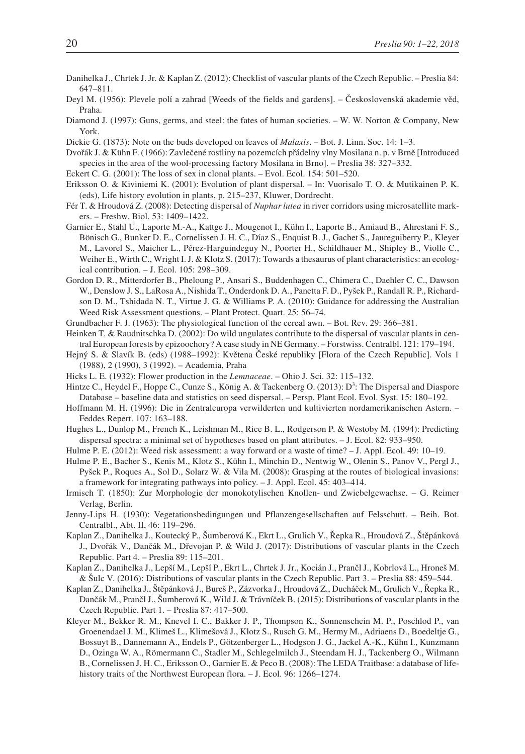- Danihelka J., Chrtek J. Jr. & Kaplan Z. (2012): Checklist of vascular plants of the Czech Republic. Preslia 84: 647–811.
- Deyl M. (1956): Plevele polí a zahrad [Weeds of the fields and gardens]. Československá akademie věd, Praha.
- Diamond J. (1997): Guns, germs, and steel: the fates of human societies. W. W. Norton & Company, New York.
- Dickie G. (1873): Note on the buds developed on leaves of *Malaxis*. Bot. J. Linn. Soc. 14: 1–3.
- Dvořák J. & Kühn F. (1966): Zavlečené rostliny na pozemcích přádelny vlny Mosilana n. p. v Brně [Introduced species in the area of the wool-processing factory Mosilana in Brno]. – Preslia 38: 327–332.
- Eckert C. G. (2001): The loss of sex in clonal plants. Evol. Ecol. 154: 501–520.
- Eriksson O. & Kiviniemi K. (2001): Evolution of plant dispersal. In: Vuorisalo T. O. & Mutikainen P. K. (eds), Life history evolution in plants, p. 215–237, Kluwer, Dordrecht.
- Fér T. & Hroudová Z. (2008): Detecting dispersal of *Nuphar lutea* in river corridors using microsatellite markers. – Freshw. Biol. 53: 1409–1422.
- Garnier E., Stahl U., Laporte M.-A., Kattge J., Mougenot I., Kühn I., Laporte B., Amiaud B., Ahrestani F. S., Bönisch G., Bunker D. E., Cornelissen J. H. C., Díaz S., Enquist B. J., Gachet S., Jaureguiberry P., Kleyer M., Lavorel S., Maicher L., Pérez-Harguindeguy N., Poorter H., Schildhauer M., Shipley B., Violle C., Weiher E., Wirth C., Wright I. J. & Klotz S. (2017): Towards a thesaurus of plant characteristics: an ecological contribution. – J. Ecol. 105: 298–309.
- Gordon D. R., Mitterdorfer B., Pheloung P., Ansari S., Buddenhagen C., Chimera C., Daehler C. C., Dawson W., Denslow J. S., LaRosa A., Nishida T., Onderdonk D. A., Panetta F. D., Pyšek P., Randall R. P., Richardson D. M., Tshidada N. T., Virtue J. G. & Williams P. A. (2010): Guidance for addressing the Australian Weed Risk Assessment questions. – Plant Protect. Quart. 25: 56–74.
- Grundbacher F. J. (1963): The physiological function of the cereal awn. Bot. Rev. 29: 366–381.
- Heinken T. & Raudnitschka D. (2002): Do wild ungulates contribute to the dispersal of vascular plants in central European forests by epizoochory? A case study in NE Germany. – Forstwiss. Centralbl. 121: 179–194.
- Hejný S. & Slavík B. (eds) (1988–1992): Květena České republiky [Flora of the Czech Republic]. Vols 1 (1988), 2 (1990), 3 (1992). – Academia, Praha
- Hicks L. E. (1932): Flower production in the *Lemnaceae*. Ohio J. Sci. 32: 115–132.
- Hintze C., Heydel F., Hoppe C., Cunze S., König A. & Tackenberg O. (2013): D<sup>3</sup>: The Dispersal and Diaspore Database – baseline data and statistics on seed dispersal. – Persp. Plant Ecol. Evol. Syst. 15: 180–192.
- Hoffmann M. H. (1996): Die in Zentraleuropa verwilderten und kultivierten nordamerikanischen Astern. Feddes Repert. 107: 163–188.
- Hughes L., Dunlop M., French K., Leishman M., Rice B. L., Rodgerson P. & Westoby M. (1994): Predicting dispersal spectra: a minimal set of hypotheses based on plant attributes. – J. Ecol. 82: 933–950.
- Hulme P. E. (2012): Weed risk assessment: a way forward or a waste of time? J. Appl. Ecol. 49: 10–19.
- Hulme P. E., Bacher S., Kenis M., Klotz S., Kühn I., Minchin D., Nentwig W., Olenin S., Panov V., Pergl J., Pyšek P., Roques A., Sol D., Solarz W. & Vila M. (2008): Grasping at the routes of biological invasions: a framework for integrating pathways into policy. – J. Appl. Ecol. 45: 403–414.
- Irmisch T. (1850): Zur Morphologie der monokotylischen Knollen- und Zwiebelgewachse. G. Reimer Verlag, Berlin.
- Jenny-Lips H. (1930): Vegetationsbedingungen und Pflanzengesellschaften auf Felsschutt. Beih. Bot. Centralbl., Abt. II, 46: 119–296.
- Kaplan Z., Danihelka J., Koutecký P., Šumberová K., Ekrt L., Grulich V., Řepka R., Hroudová Z., Štěpánková J., Dvořák V., Dančák M., Dřevojan P. & Wild J. (2017): Distributions of vascular plants in the Czech Republic. Part 4. – Preslia 89: 115–201.
- Kaplan Z., Danihelka J., Lepší M., Lepší P., Ekrt L., Chrtek J. Jr., Kocián J., Prančl J., Kobrlová L., Hroneš M. & Šulc V. (2016): Distributions of vascular plants in the Czech Republic. Part 3. – Preslia 88: 459–544.
- Kaplan Z., Danihelka J., Štěpánková J., Bureš P., Zázvorka J., Hroudová Z., Ducháček M., Grulich V., Řepka R., Dančák M., Prančl J., Šumberová K., Wild J. & Trávníček B. (2015): Distributions of vascular plants in the Czech Republic. Part 1. – Preslia 87: 417–500.
- Kleyer M., Bekker R. M., Knevel I. C., Bakker J. P., Thompson K., Sonnenschein M. P., Poschlod P., van Groenendael J. M., Klimeš L., Klimešová J., Klotz S., Rusch G. M., Hermy M., Adriaens D., Boedeltje G., Bossuyt B., Dannemann A., Endels P., Götzenberger L., Hodgson J. G., Jackel A.-K., Kühn I., Kunzmann D., Ozinga W. A., Römermann C., Stadler M., Schlegelmilch J., Steendam H. J., Tackenberg O., Wilmann B., Cornelissen J. H. C., Eriksson O., Garnier E. & Peco B. (2008): The LEDA Traitbase: a database of lifehistory traits of the Northwest European flora. - J. Ecol. 96: 1266-1274.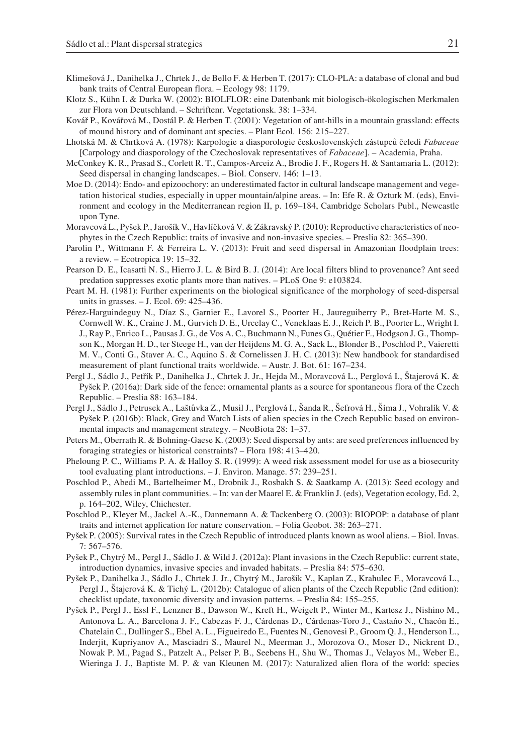- Klimešová J., Danihelka J., Chrtek J., de Bello F. & Herben T. (2017): CLO-PLA: a database of clonal and bud bank traits of Central European flora. – Ecology 98: 1179.
- Klotz S., Kühn I. & Durka W. (2002): BIOLFLOR: eine Datenbank mit biologisch-ökologischen Merkmalen zur Flora von Deutschland. – Schriftenr. Vegetationsk. 38: 1–334.
- Kovář P., Kovářová M., Dostál P. & Herben T. (2001): Vegetation of ant-hills in a mountain grassland: effects of mound history and of dominant ant species. – Plant Ecol. 156: 215–227.
- Lhotská M. & Chrtková A. (1978): Karpologie a diasporologie československých zástupců čeledi *Fabaceae* [Carpology and diasporology of the Czechoslovak representatives of *Fabaceae*]. – Academia, Praha.
- McConkey K. R., Prasad S., Corlett R. T., Campos-Arceiz A., Brodie J. F., Rogers H. & Santamaria L. (2012): Seed dispersal in changing landscapes. – Biol. Conserv. 146: 1–13.
- Moe D. (2014): Endo- and epizoochory: an underestimated factor in cultural landscape management and vegetation historical studies, especially in upper mountain/alpine areas. – In: Efe R. & Ozturk M. (eds), Environment and ecology in the Mediterranean region II, p. 169–184, Cambridge Scholars Publ., Newcastle upon Tyne.
- Moravcová L., Pyšek P., Jarošík V., Havlíčková V. & Zákravský P. (2010): Reproductive characteristics of neophytes in the Czech Republic: traits of invasive and non-invasive species. – Preslia 82: 365–390.
- Parolin P., Wittmann F. & Ferreira L. V. (2013): Fruit and seed dispersal in Amazonian floodplain trees: a review. – Ecotropica 19: 15–32.
- Pearson D. E., Icasatti N. S., Hierro J. L. & Bird B. J. (2014): Are local filters blind to provenance? Ant seed predation suppresses exotic plants more than natives. – PLoS One 9: e103824.
- Peart M. H. (1981): Further experiments on the biological significance of the morphology of seed-dispersal units in grasses. – J. Ecol. 69: 425–436.
- Pérez-Harguindeguy N., Díaz S., Garnier E., Lavorel S., Poorter H., Jaureguiberry P., Bret-Harte M. S., Cornwell W. K., Craine J. M., Gurvich D. E., Urcelay C., Veneklaas E. J., Reich P. B., Poorter L., Wright I. J., Ray P., Enrico L., Pausas J. G., de Vos A. C., Buchmann N., Funes G., Quétier F., Hodgson J. G., Thompson K., Morgan H. D., ter Steege H., van der Heijdens M. G. A., Sack L., Blonder B., Poschlod P., Vaieretti M. V., Conti G., Staver A. C., Aquino S. & Cornelissen J. H. C. (2013): New handbook for standardised measurement of plant functional traits worldwide. – Austr. J. Bot. 61: 167–234.
- Pergl J., Sádlo J., Petřík P., Danihelka J., Chrtek J. Jr., Hejda M., Moravcová L., Perglová I., Štajerová K. & Pyšek P. (2016a): Dark side of the fence: ornamental plants as a source for spontaneous flora of the Czech Republic. – Preslia 88: 163–184.
- Pergl J., Sádlo J., Petrusek A., Laštůvka Z., Musil J., Perglová I., Šanda R., Šefrová H., Šíma J., Vohralík V. & Pyšek P. (2016b): Black, Grey and Watch Lists of alien species in the Czech Republic based on environmental impacts and management strategy. – NeoBiota 28: 1–37.
- Peters M., Oberrath R. & Bohning-Gaese K. (2003): Seed dispersal by ants: are seed preferences influenced by foraging strategies or historical constraints? – Flora 198: 413–420.
- Pheloung P. C., Williams P. A. & Halloy S. R. (1999): A weed risk assessment model for use as a biosecurity tool evaluating plant introductions. – J. Environ. Manage. 57: 239–251.
- Poschlod P., Abedi M., Bartelheimer M., Drobnik J., Rosbakh S. & Saatkamp A. (2013): Seed ecology and assembly rules in plant communities. – In: van der Maarel E. & Franklin J. (eds), Vegetation ecology, Ed. 2, p. 164–202, Wiley, Chichester.
- Poschlod P., Kleyer M., Jackel A.-K., Dannemann A. & Tackenberg O. (2003): BIOPOP: a database of plant traits and internet application for nature conservation. – Folia Geobot. 38: 263–271.
- Pyšek P. (2005): Survival rates in the Czech Republic of introduced plants known as wool aliens. Biol. Invas. 7: 567–576.
- Pyšek P., Chytrý M., Pergl J., Sádlo J. & Wild J. (2012a): Plant invasions in the Czech Republic: current state, introduction dynamics, invasive species and invaded habitats. – Preslia 84: 575–630.
- Pyšek P., Danihelka J., Sádlo J., Chrtek J. Jr., Chytrý M., Jarošík V., Kaplan Z., Krahulec F., Moravcová L., Pergl J., Štajerová K. & Tichý L. (2012b): Catalogue of alien plants of the Czech Republic (2nd edition): checklist update, taxonomic diversity and invasion patterns. – Preslia 84: 155–255.
- Pyšek P., Pergl J., Essl F., Lenzner B., Dawson W., Kreft H., Weigelt P., Winter M., Kartesz J., Nishino M., Antonova L. A., Barcelona J. F., Cabezas F. J., Cárdenas D., Cárdenas-Toro J., Castańo N., Chacón E., Chatelain C., Dullinger S., Ebel A. L., Figueiredo E., Fuentes N., Genovesi P., Groom Q. J., Henderson L., Inderjit, Kupriyanov A., Masciadri S., Maurel N., Meerman J., Morozova O., Moser D., Nickrent D., Nowak P. M., Pagad S., Patzelt A., Pelser P. B., Seebens H., Shu W., Thomas J., Velayos M., Weber E., Wieringa J. J., Baptiste M. P. & van Kleunen M. (2017): Naturalized alien flora of the world: species